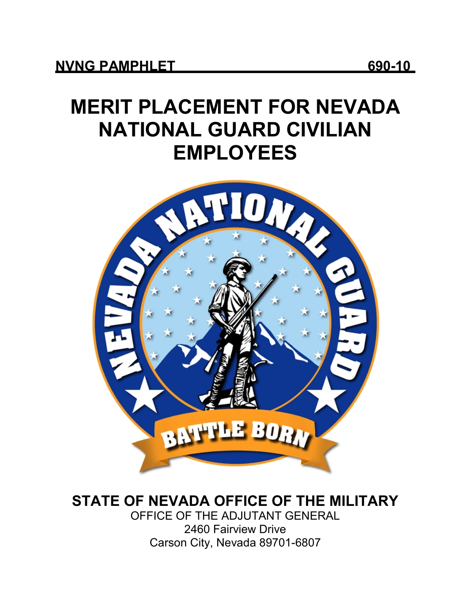# **MERIT PLACEMENT FOR NEVADA NATIONAL GUARD CIVILIAN EMPLOYEES**



## **STATE OF NEVADA OFFICE OF THE MILITARY**

OFFICE OF THE ADJUTANT GENERAL 2460 Fairview Drive Carson City, Nevada 89701-6807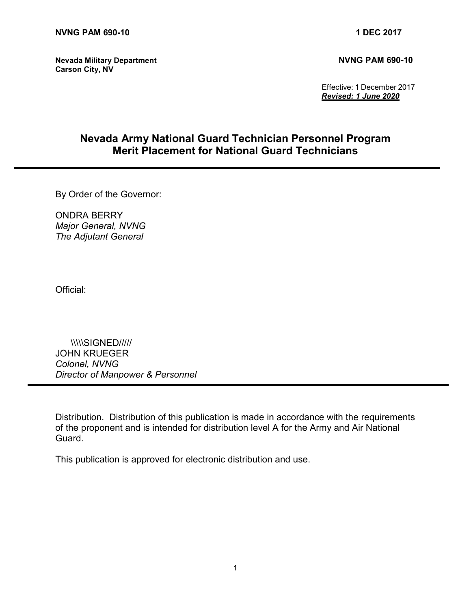**Nevada Military Department NVNG PAM 690-10 Carson City, NV**

 Effective: 1 December 2017 *Revised: 1 June 2020*

### **Nevada Army National Guard Technician Personnel Program Merit Placement for National Guard Technicians**

By Order of the Governor:

ONDRA BERRY *Major General, NVNG The Adjutant General*

Official:

 \\\\\SIGNED///// JOHN KRUEGER *Colonel, NVNG Director of Manpower & Personnel*

Distribution. Distribution of this publication is made in accordance with the requirements of the proponent and is intended for distribution level A for the Army and Air National Guard.

This publication is approved for electronic distribution and use.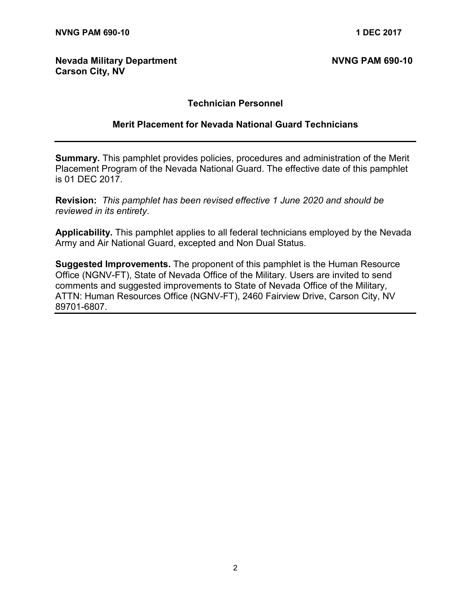#### **Nevada Military Department NVNG PAM 690-10 Carson City, NV**

#### **Technician Personnel**

#### **Merit Placement for Nevada National Guard Technicians**

**Summary.** This pamphlet provides policies, procedures and administration of the Merit Placement Program of the Nevada National Guard. The effective date of this pamphlet is 01 DEC 2017.

**Revision:** *This pamphlet has been revised effective 1 June 2020 and should be reviewed in its entirety*.

**Applicability.** This pamphlet applies to all federal technicians employed by the Nevada Army and Air National Guard, excepted and Non Dual Status.

**Suggested Improvements.** The proponent of this pamphlet is the Human Resource Office (NGNV-FT), State of Nevada Office of the Military. Users are invited to send comments and suggested improvements to State of Nevada Office of the Military, ATTN: Human Resources Office (NGNV-FT), 2460 Fairview Drive, Carson City, NV 89701-6807.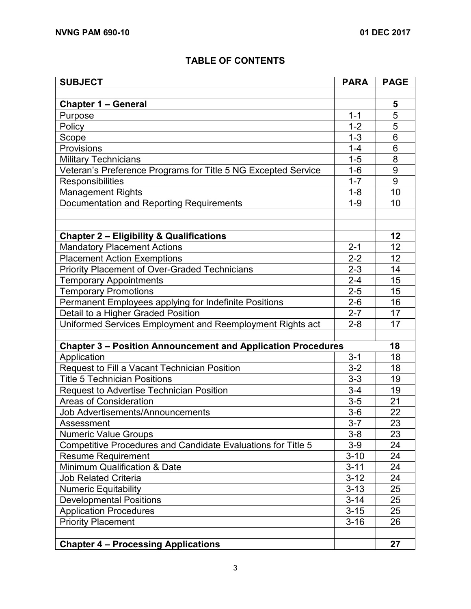#### **TABLE OF CONTENTS**

| <b>SUBJECT</b>                                                      | <b>PARA</b> | <b>PAGE</b>     |
|---------------------------------------------------------------------|-------------|-----------------|
|                                                                     |             |                 |
| Chapter 1 - General                                                 |             | 5               |
| Purpose                                                             | $1 - 1$     | $\overline{5}$  |
| Policy                                                              | $1 - 2$     | $\overline{5}$  |
| Scope                                                               | $1 - 3$     | 6               |
| Provisions                                                          |             | 6               |
| <b>Military Technicians</b>                                         |             | 8               |
| Veteran's Preference Programs for Title 5 NG Excepted Service       |             | 9               |
| Responsibilities                                                    | $1 - 7$     | 9               |
| <b>Management Rights</b>                                            | $1 - 8$     | 10              |
| Documentation and Reporting Requirements                            | $1 - 9$     | 10              |
|                                                                     |             |                 |
|                                                                     |             |                 |
| <b>Chapter 2 - Eligibility &amp; Qualifications</b>                 |             | 12              |
| <b>Mandatory Placement Actions</b>                                  | $2 - 1$     | 12              |
| <b>Placement Action Exemptions</b>                                  | $2 - 2$     | 12              |
| Priority Placement of Over-Graded Technicians                       | $2 - 3$     | 14              |
| <b>Temporary Appointments</b>                                       | $2 - 4$     | 15              |
| <b>Temporary Promotions</b>                                         | $2 - 5$     | 15              |
| Permanent Employees applying for Indefinite Positions               | $2 - 6$     | 16              |
| Detail to a Higher Graded Position                                  | $2 - 7$     | 17              |
| Uniformed Services Employment and Reemployment Rights act           | $2 - 8$     | 17              |
|                                                                     |             |                 |
| <b>Chapter 3 - Position Announcement and Application Procedures</b> |             | 18              |
| Application                                                         | $3 - 1$     | 18              |
| Request to Fill a Vacant Technician Position                        | $3 - 2$     | 18              |
| <b>Title 5 Technician Positions</b>                                 | $3 - 3$     | 19              |
| <b>Request to Advertise Technician Position</b>                     | $3 - 4$     | 19              |
| <b>Areas of Consideration</b>                                       | $3-5$       | 21              |
| <b>Job Advertisements/Announcements</b>                             | $3-6$       | 22              |
| Assessment                                                          | $3 - 7$     | $\overline{23}$ |
| <b>Numeric Value Groups</b>                                         | $3 - 8$     | 23              |
| Competitive Procedures and Candidate Evaluations for Title 5        | $3-9$       | 24              |
| <b>Resume Requirement</b>                                           | $3 - 10$    | 24              |
| <b>Minimum Qualification &amp; Date</b>                             | $3 - 11$    | 24              |
| <b>Job Related Criteria</b>                                         | $3 - 12$    | 24              |
| <b>Numeric Equitability</b>                                         | $3 - 13$    | 25              |
| <b>Developmental Positions</b>                                      | $3 - 14$    | 25              |
| <b>Application Procedures</b>                                       | $3 - 15$    | 25              |
| <b>Priority Placement</b>                                           | $3 - 16$    | 26              |
|                                                                     |             |                 |
| <b>Chapter 4 - Processing Applications</b>                          |             | 27              |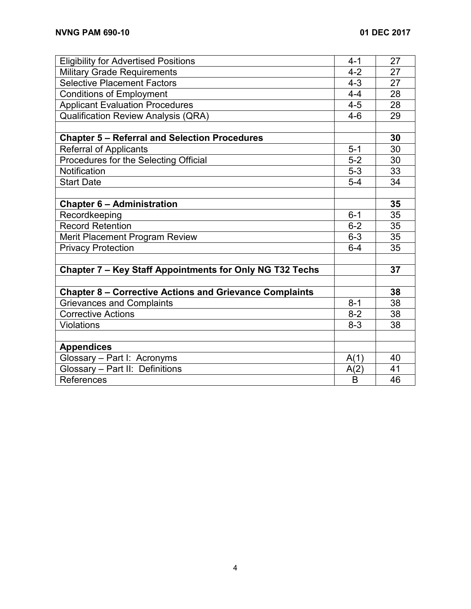| <b>Eligibility for Advertised Positions</b>                    |         | 27 |
|----------------------------------------------------------------|---------|----|
| <b>Military Grade Requirements</b>                             |         | 27 |
| <b>Selective Placement Factors</b>                             |         | 27 |
| <b>Conditions of Employment</b>                                |         | 28 |
| <b>Applicant Evaluation Procedures</b>                         |         | 28 |
| <b>Qualification Review Analysis (QRA)</b>                     |         | 29 |
|                                                                |         |    |
| <b>Chapter 5 - Referral and Selection Procedures</b>           |         | 30 |
| <b>Referral of Applicants</b>                                  | $5 - 1$ | 30 |
| Procedures for the Selecting Official                          | $5 - 2$ | 30 |
| Notification                                                   | $5-3$   | 33 |
| <b>Start Date</b>                                              | $5-4$   | 34 |
|                                                                |         |    |
| <b>Chapter 6 - Administration</b>                              |         | 35 |
| Recordkeeping                                                  | $6 - 1$ | 35 |
| <b>Record Retention</b>                                        | $6 - 2$ | 35 |
| Merit Placement Program Review                                 | $6 - 3$ | 35 |
| <b>Privacy Protection</b>                                      |         | 35 |
|                                                                |         |    |
| Chapter 7 - Key Staff Appointments for Only NG T32 Techs       |         | 37 |
|                                                                |         |    |
| <b>Chapter 8 - Corrective Actions and Grievance Complaints</b> |         | 38 |
| <b>Grievances and Complaints</b>                               | $8 - 1$ | 38 |
| <b>Corrective Actions</b>                                      | $8-2$   | 38 |
| <b>Violations</b>                                              | $8 - 3$ | 38 |
|                                                                |         |    |
| <b>Appendices</b>                                              |         |    |
| Glossary - Part I: Acronyms                                    | A(1)    | 40 |
| Glossary - Part II: Definitions                                |         | 41 |
| References                                                     |         | 46 |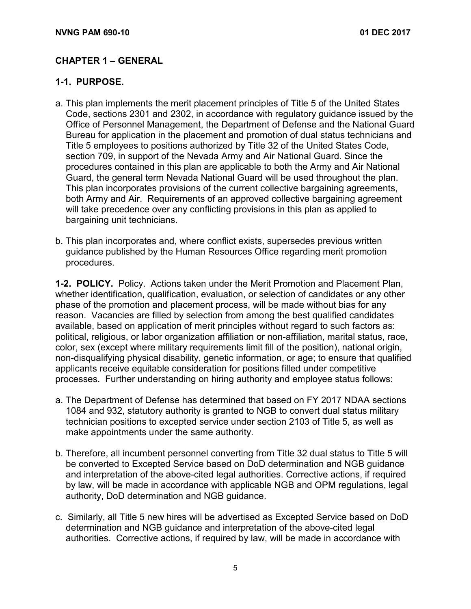#### **CHAPTER 1 – GENERAL**

#### **1-1. PURPOSE.**

- a. This plan implements the merit placement principles of Title 5 of the United States Code, sections 2301 and 2302, in accordance with regulatory guidance issued by the Office of Personnel Management, the Department of Defense and the National Guard Bureau for application in the placement and promotion of dual status technicians and Title 5 employees to positions authorized by Title 32 of the United States Code, section 709, in support of the Nevada Army and Air National Guard. Since the procedures contained in this plan are applicable to both the Army and Air National Guard, the general term Nevada National Guard will be used throughout the plan. This plan incorporates provisions of the current collective bargaining agreements, both Army and Air. Requirements of an approved collective bargaining agreement will take precedence over any conflicting provisions in this plan as applied to bargaining unit technicians.
- b. This plan incorporates and, where conflict exists, supersedes previous written guidance published by the Human Resources Office regarding merit promotion procedures.

**1-2. POLICY.** Policy. Actions taken under the Merit Promotion and Placement Plan, whether identification, qualification, evaluation, or selection of candidates or any other phase of the promotion and placement process, will be made without bias for any reason. Vacancies are filled by selection from among the best qualified candidates available, based on application of merit principles without regard to such factors as: political, religious, or labor organization affiliation or non-affiliation, marital status, race, color, sex (except where military requirements limit fill of the position), national origin, non-disqualifying physical disability, genetic information, or age; to ensure that qualified applicants receive equitable consideration for positions filled under competitive processes. Further understanding on hiring authority and employee status follows:

- a. The Department of Defense has determined that based on FY 2017 NDAA sections 1084 and 932, statutory authority is granted to NGB to convert dual status military technician positions to excepted service under section 2103 of Title 5, as well as make appointments under the same authority.
- b. Therefore, all incumbent personnel converting from Title 32 dual status to Title 5 will be converted to Excepted Service based on DoD determination and NGB guidance and interpretation of the above-cited legal authorities. Corrective actions, if required by law, will be made in accordance with applicable NGB and OPM regulations, legal authority, DoD determination and NGB guidance.
- c. Similarly, all Title 5 new hires will be advertised as Excepted Service based on DoD determination and NGB guidance and interpretation of the above-cited legal authorities. Corrective actions, if required by law, will be made in accordance with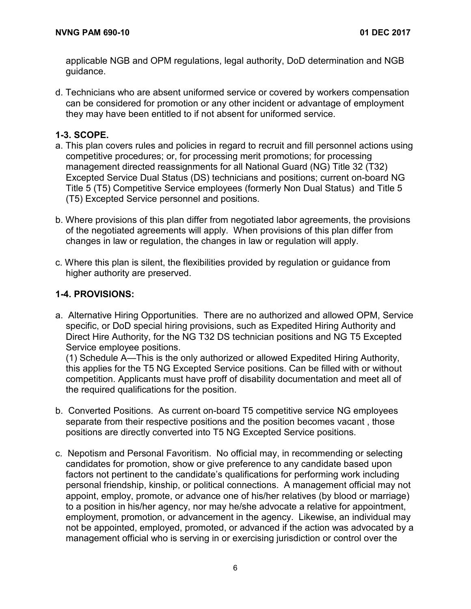applicable NGB and OPM regulations, legal authority, DoD determination and NGB guidance.

d. Technicians who are absent uniformed service or covered by workers compensation can be considered for promotion or any other incident or advantage of employment they may have been entitled to if not absent for uniformed service.

#### **1-3. SCOPE.**

- a. This plan covers rules and policies in regard to recruit and fill personnel actions using competitive procedures; or, for processing merit promotions; for processing management directed reassignments for all National Guard (NG) Title 32 (T32) Excepted Service Dual Status (DS) technicians and positions; current on-board NG Title 5 (T5) Competitive Service employees (formerly Non Dual Status) and Title 5 (T5) Excepted Service personnel and positions.
- b. Where provisions of this plan differ from negotiated labor agreements, the provisions of the negotiated agreements will apply. When provisions of this plan differ from changes in law or regulation, the changes in law or regulation will apply.
- c. Where this plan is silent, the flexibilities provided by regulation or guidance from higher authority are preserved.

#### **1-4. PROVISIONS:**

a. Alternative Hiring Opportunities.There are no authorized and allowed OPM, Service specific, or DoD special hiring provisions, such as Expedited Hiring Authority and Direct Hire Authority, for the NG T32 DS technician positions and NG T5 Excepted Service employee positions.

(1) Schedule A—This is the only authorized or allowed Expedited Hiring Authority, this applies for the T5 NG Excepted Service positions. Can be filled with or without competition. Applicants must have proff of disability documentation and meet all of the required qualifications for the position.

- b. Converted Positions. As current on-board T5 competitive service NG employees separate from their respective positions and the position becomes vacant , those positions are directly converted into T5 NG Excepted Service positions.
- c. Nepotism and Personal Favoritism. No official may, in recommending or selecting candidates for promotion, show or give preference to any candidate based upon factors not pertinent to the candidate's qualifications for performing work including personal friendship, kinship, or political connections. A management official may not appoint, employ, promote, or advance one of his/her relatives (by blood or marriage) to a position in his/her agency, nor may he/she advocate a relative for appointment, employment, promotion, or advancement in the agency. Likewise, an individual may not be appointed, employed, promoted, or advanced if the action was advocated by a management official who is serving in or exercising jurisdiction or control over the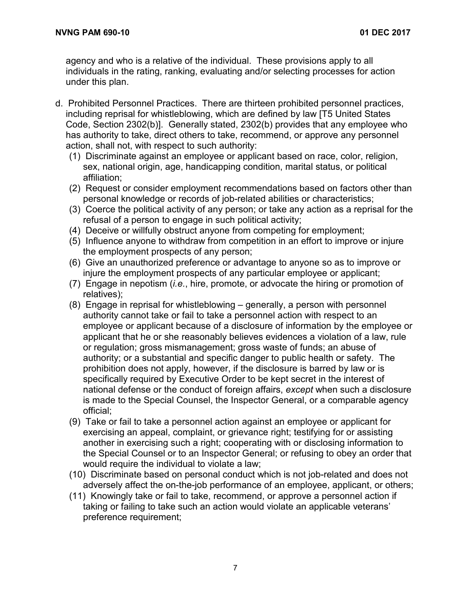agency and who is a relative of the individual. These provisions apply to all individuals in the rating, ranking, evaluating and/or selecting processes for action under this plan.

- d. Prohibited Personnel Practices. There are thirteen prohibited personnel practices, including reprisal for whistleblowing, which are defined by law [T5 United States Code, Section 2302(b)]. Generally stated, 2302(b) provides that any employee who has authority to take, direct others to take, recommend, or approve any personnel action, shall not, with respect to such authority:
	- (1) Discriminate against an employee or applicant based on race, color, religion, sex, national origin, age, handicapping condition, marital status, or political affiliation;
	- (2) Request or consider employment recommendations based on factors other than personal knowledge or records of job-related abilities or characteristics;
	- (3) Coerce the political activity of any person; or take any action as a reprisal for the refusal of a person to engage in such political activity;
	- (4) Deceive or willfully obstruct anyone from competing for employment;
	- (5) Influence anyone to withdraw from competition in an effort to improve or injure the employment prospects of any person;
	- (6) Give an unauthorized preference or advantage to anyone so as to improve or injure the employment prospects of any particular employee or applicant;
	- (7) Engage in nepotism (*i.e.*, hire, promote, or advocate the hiring or promotion of relatives);
	- (8) Engage in reprisal for whistleblowing generally, a person with personnel authority cannot take or fail to take a personnel action with respect to an employee or applicant because of a disclosure of information by the employee or applicant that he or she reasonably believes evidences a violation of a law, rule or regulation; gross mismanagement; gross waste of funds; an abuse of authority; or a substantial and specific danger to public health or safety. The prohibition does not apply, however, if the disclosure is barred by law or is specifically required by Executive Order to be kept secret in the interest of national defense or the conduct of foreign affairs, *except* when such a disclosure is made to the Special Counsel, the Inspector General, or a comparable agency official;
	- (9) Take or fail to take a personnel action against an employee or applicant for exercising an appeal, complaint, or grievance right; testifying for or assisting another in exercising such a right; cooperating with or disclosing information to the Special Counsel or to an Inspector General; or refusing to obey an order that would require the individual to violate a law;
	- (10) Discriminate based on personal conduct which is not job-related and does not adversely affect the on-the-job performance of an employee, applicant, or others;
	- (11) Knowingly take or fail to take, recommend, or approve a personnel action if taking or failing to take such an action would violate an applicable veterans' preference requirement;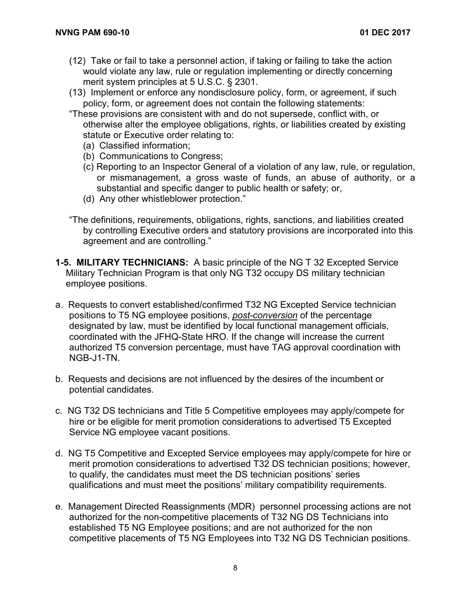- (12) Take or fail to take a personnel action, if taking or failing to take the action would violate any law, rule or regulation implementing or directly concerning merit system principles at 5 U.S.C. § 2301.
- (13) Implement or enforce any nondisclosure policy, form, or agreement, if such policy, form, or agreement does not contain the following statements:
- "These provisions are consistent with and do not supersede, conflict with, or otherwise alter the employee obligations, rights, or liabilities created by existing statute or Executive order relating to:
	- (a) Classified information;
	- (b) Communications to Congress;
	- (c) Reporting to an Inspector General of a violation of any law, rule, or regulation, or mismanagement, a gross waste of funds, an abuse of authority, or a substantial and specific danger to public health or safety; or,
	- (d) Any other whistleblower protection."
- "The definitions, requirements, obligations, rights, sanctions, and liabilities created by controlling Executive orders and statutory provisions are incorporated into this agreement and are controlling."
- **1-5. MILITARY TECHNICIANS:** A basic principle of the NG T 32 Excepted Service Military Technician Program is that only NG T32 occupy DS military technician employee positions.
- a. Requests to convert established/confirmed T32 NG Excepted Service technician positions to T5 NG employee positions, *post-conversion* of the percentage designated by law, must be identified by local functional management officials, coordinated with the JFHQ-State HRO. If the change will increase the current authorized T5 conversion percentage, must have TAG approval coordination with NGB-J1-TN.
- b. Requests and decisions are not influenced by the desires of the incumbent or potential candidates.
- c. NG T32 DS technicians and Title 5 Competitive employees may apply/compete for hire or be eligible for merit promotion considerations to advertised T5 Excepted Service NG employee vacant positions.
- d. NG T5 Competitive and Excepted Service employees may apply/compete for hire or merit promotion considerations to advertised T32 DS technician positions; however, to qualify, the candidates must meet the DS technician positions' series qualifications and must meet the positions' military compatibility requirements.
- e. Management Directed Reassignments (MDR) personnel processing actions are not authorized for the non-competitive placements of T32 NG DS Technicians into established T5 NG Employee positions; and are not authorized for the non competitive placements of T5 NG Employees into T32 NG DS Technician positions.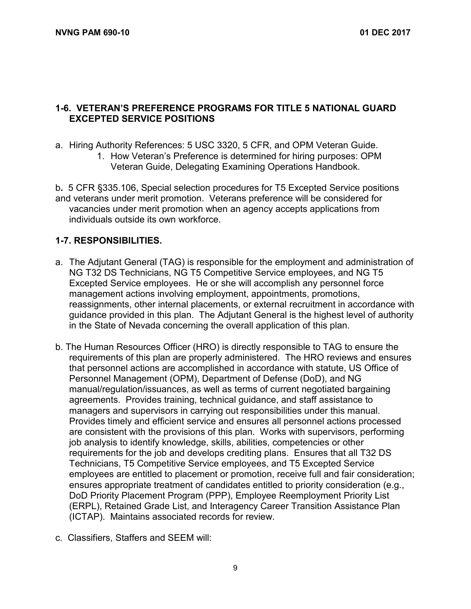#### **1-6. VETERAN'S PREFERENCE PROGRAMS FOR TITLE 5 NATIONAL GUARD EXCEPTED SERVICE POSITIONS**

- a. Hiring Authority References: 5 USC 3320, 5 CFR, and OPM Veteran Guide.
	- 1. How Veteran's Preference is determined for hiring purposes: OPM Veteran Guide, Delegating Examining Operations Handbook.

b**.** 5 CFR §335.106, Special selection procedures for T5 Excepted Service positions and veterans under merit promotion.Veterans preference will be considered for vacancies under merit promotion when an [agency](https://www.law.cornell.edu/definitions/index.php?width=840&height=800&iframe=true&def_id=aa6432c451712fb67001bd444491bc56&term_occur=1&term_src=Title:5:Chapter:I:Subchapter:B:Part:335:Subpart:A:335.106) accepts applications from individuals outside its own workforce.

#### **1-7. RESPONSIBILITIES.**

- a. The Adjutant General (TAG) is responsible for the employment and administration of NG T32 DS Technicians, NG T5 Competitive Service employees, and NG T5 Excepted Service employees. He or she will accomplish any personnel force management actions involving employment, appointments, promotions, reassignments, other internal placements, or external recruitment in accordance with guidance provided in this plan. The Adjutant General is the highest level of authority in the State of Nevada concerning the overall application of this plan.
- b. The Human Resources Officer (HRO) is directly responsible to TAG to ensure the requirements of this plan are properly administered. The HRO reviews and ensures that personnel actions are accomplished in accordance with statute, US Office of Personnel Management (OPM), Department of Defense (DoD), and NG manual/regulation/issuances, as well as terms of current negotiated bargaining agreements. Provides training, technical guidance, and staff assistance to managers and supervisors in carrying out responsibilities under this manual. Provides timely and efficient service and ensures all personnel actions processed are consistent with the provisions of this plan. Works with supervisors, performing job analysis to identify knowledge, skills, abilities, competencies or other requirements for the job and develops crediting plans. Ensures that all T32 DS Technicians, T5 Competitive Service employees, and T5 Excepted Service employees are entitled to placement or promotion, receive full and fair consideration; ensures appropriate treatment of candidates entitled to priority consideration (e.g., DoD Priority Placement Program (PPP), Employee Reemployment Priority List (ERPL), Retained Grade List, and Interagency Career Transition Assistance Plan (ICTAP). Maintains associated records for review.
- c. Classifiers, Staffers and SEEM will: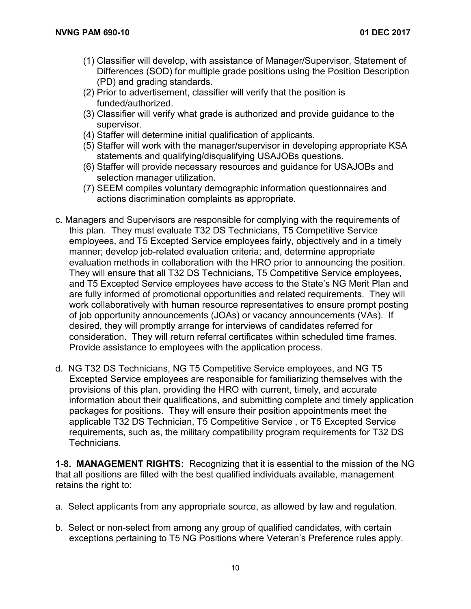- (1) Classifier will develop, with assistance of Manager/Supervisor, Statement of Differences (SOD) for multiple grade positions using the Position Description (PD) and grading standards.
- (2) Prior to advertisement, classifier will verify that the position is funded/authorized.
- (3) Classifier will verify what grade is authorized and provide guidance to the supervisor.
- (4) Staffer will determine initial qualification of applicants.
- (5) Staffer will work with the manager/supervisor in developing appropriate KSA statements and qualifying/disqualifying USAJOBs questions.
- (6) Staffer will provide necessary resources and guidance for USAJOBs and selection manager utilization.
- (7) SEEM compiles voluntary demographic information questionnaires and actions discrimination complaints as appropriate.
- c. Managers and Supervisors are responsible for complying with the requirements of this plan. They must evaluate T32 DS Technicians, T5 Competitive Service employees, and T5 Excepted Service employees fairly, objectively and in a timely manner; develop job-related evaluation criteria; and, determine appropriate evaluation methods in collaboration with the HRO prior to announcing the position. They will ensure that all T32 DS Technicians, T5 Competitive Service employees, and T5 Excepted Service employees have access to the State's NG Merit Plan and are fully informed of promotional opportunities and related requirements. They will work collaboratively with human resource representatives to ensure prompt posting of job opportunity announcements (JOAs) or vacancy announcements (VAs). If desired, they will promptly arrange for interviews of candidates referred for consideration. They will return referral certificates within scheduled time frames. Provide assistance to employees with the application process.
- d. NG T32 DS Technicians, NG T5 Competitive Service employees, and NG T5 Excepted Service employees are responsible for familiarizing themselves with the provisions of this plan, providing the HRO with current, timely, and accurate information about their qualifications, and submitting complete and timely application packages for positions. They will ensure their position appointments meet the applicable T32 DS Technician, T5 Competitive Service , or T5 Excepted Service requirements, such as, the military compatibility program requirements for T32 DS Technicians.

**1-8. MANAGEMENT RIGHTS:** Recognizing that it is essential to the mission of the NG that all positions are filled with the best qualified individuals available, management retains the right to:

- a. Select applicants from any appropriate source, as allowed by law and regulation.
- b. Select or non-select from among any group of qualified candidates, with certain exceptions pertaining to T5 NG Positions where Veteran's Preference rules apply.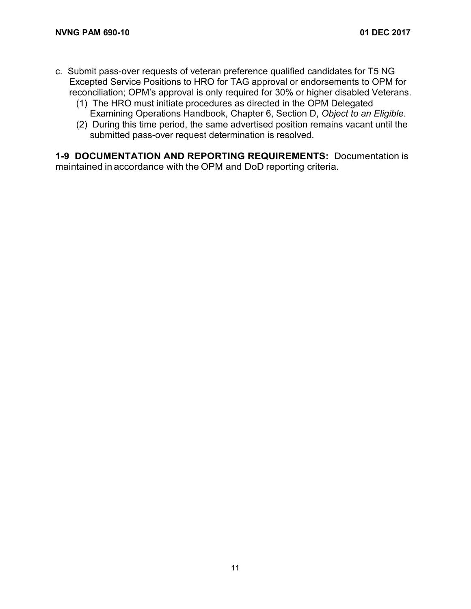- c. Submit pass-over requests of veteran preference qualified candidates for T5 NG Excepted Service Positions to HRO for TAG approval or endorsements to OPM for reconciliation; OPM's approval is only required for 30% or higher disabled Veterans.
	- (1) The HRO must initiate procedures as directed in the OPM Delegated Examining Operations Handbook, Chapter 6, Section D, *Object to an Eligible*.
	- (2) During this time period, the same advertised position remains vacant until the submitted pass-over request determination is resolved.

**1-9 DOCUMENTATION AND REPORTING REQUIREMENTS:** Documentation is maintained in accordance with the OPM and DoD reporting criteria.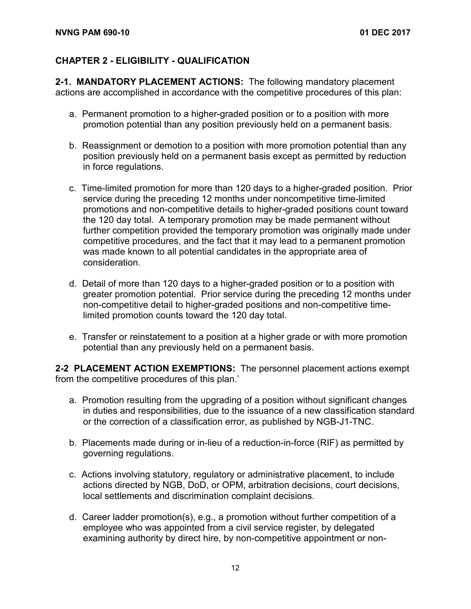#### **CHAPTER 2 - ELIGIBILITY - QUALIFICATION**

**2-1. MANDATORY PLACEMENT ACTIONS:** The following mandatory placement actions are accomplished in accordance with the competitive procedures of this plan:

- a. Permanent promotion to a higher-graded position or to a position with more promotion potential than any position previously held on a permanent basis.
- b. Reassignment or demotion to a position with more promotion potential than any position previously held on a permanent basis except as permitted by reduction in force regulations.
- c. Time-limited promotion for more than 120 days to a higher-graded position. Prior service during the preceding 12 months under noncompetitive time-limited promotions and non-competitive details to higher-graded positions count toward the 120 day total. A temporary promotion may be made permanent without further competition provided the temporary promotion was originally made under competitive procedures, and the fact that it may lead to a permanent promotion was made known to all potential candidates in the appropriate area of consideration.
- d. Detail of more than 120 days to a higher-graded position or to a position with greater promotion potential. Prior service during the preceding 12 months under non-competitive detail to higher-graded positions and non-competitive timelimited promotion counts toward the 120 day total.
- e. Transfer or reinstatement to a position at a higher grade or with more promotion potential than any previously held on a permanent basis.

**2-2 PLACEMENT ACTION EXEMPTIONS:** The personnel placement actions exempt from the competitive procedures of this plan.'

- a. Promotion resulting from the upgrading of a position without significant changes in duties and responsibilities, due to the issuance of a new classification standard or the correction of a classification error, as published by NGB-J1-TNC.
- b. Placements made during or in-lieu of a reduction-in-force (RIF) as permitted by governing regulations.
- c. Actions involving statutory, regulatory or administrative placement, to include actions directed by NGB, DoD, or OPM, arbitration decisions, court decisions, local settlements and discrimination complaint decisions.
- d. Career ladder promotion(s), e.g., a promotion without further competition of a employee who was appointed from a civil service register, by delegated examining authority by direct hire, by non-competitive appointment or non-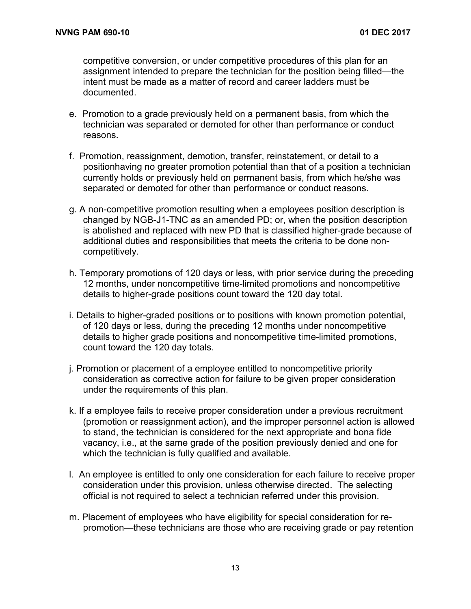competitive conversion, or under competitive procedures of this plan for an assignment intended to prepare the technician for the position being filled—the intent must be made as a matter of record and career ladders must be documented.

- e. Promotion to a grade previously held on a permanent basis, from which the technician was separated or demoted for other than performance or conduct reasons.
- f. Promotion, reassignment, demotion, transfer, reinstatement, or detail to a positionhaving no greater promotion potential than that of a position a technician currently holds or previously held on permanent basis, from which he/she was separated or demoted for other than performance or conduct reasons.
- g. A non-competitive promotion resulting when a employees position description is changed by NGB-J1-TNC as an amended PD; or, when the position description is abolished and replaced with new PD that is classified higher-grade because of additional duties and responsibilities that meets the criteria to be done noncompetitively.
- h. Temporary promotions of 120 days or less, with prior service during the preceding 12 months, under noncompetitive time-limited promotions and noncompetitive details to higher-grade positions count toward the 120 day total.
- i. Details to higher-graded positions or to positions with known promotion potential, of 120 days or less, during the preceding 12 months under noncompetitive details to higher grade positions and noncompetitive time-limited promotions, count toward the 120 day totals.
- j. Promotion or placement of a employee entitled to noncompetitive priority consideration as corrective action for failure to be given proper consideration under the requirements of this plan.
- k. If a employee fails to receive proper consideration under a previous recruitment (promotion or reassignment action), and the improper personnel action is allowed to stand, the technician is considered for the next appropriate and bona fide vacancy, i.e., at the same grade of the position previously denied and one for which the technician is fully qualified and available.
- l. An employee is entitled to only one consideration for each failure to receive proper consideration under this provision, unless otherwise directed. The selecting official is not required to select a technician referred under this provision.
- m. Placement of employees who have eligibility for special consideration for repromotion—these technicians are those who are receiving grade or pay retention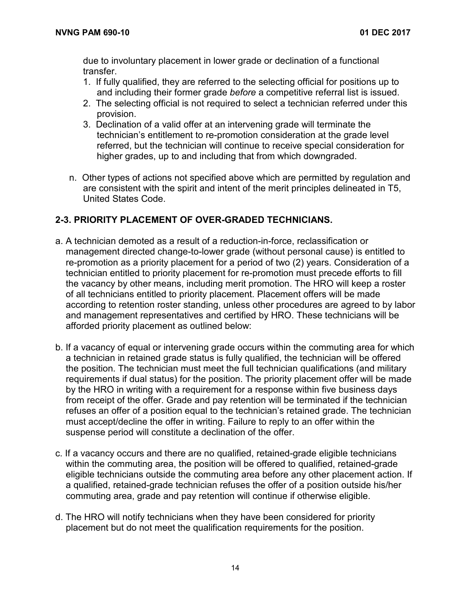due to involuntary placement in lower grade or declination of a functional transfer.

- 1. If fully qualified, they are referred to the selecting official for positions up to and including their former grade *before* a competitive referral list is issued.
- 2. The selecting official is not required to select a technician referred under this provision.
- 3. Declination of a valid offer at an intervening grade will terminate the technician's entitlement to re-promotion consideration at the grade level referred, but the technician will continue to receive special consideration for higher grades, up to and including that from which downgraded.
- n. Other types of actions not specified above which are permitted by regulation and are consistent with the spirit and intent of the merit principles delineated in T5, United States Code.

#### **2-3. PRIORITY PLACEMENT OF OVER-GRADED TECHNICIANS.**

- a. A technician demoted as a result of a reduction-in-force, reclassification or management directed change-to-lower grade (without personal cause) is entitled to re-promotion as a priority placement for a period of two (2) years. Consideration of a technician entitled to priority placement for re-promotion must precede efforts to fill the vacancy by other means, including merit promotion. The HRO will keep a roster of all technicians entitled to priority placement. Placement offers will be made according to retention roster standing, unless other procedures are agreed to by labor and management representatives and certified by HRO. These technicians will be afforded priority placement as outlined below:
- b. If a vacancy of equal or intervening grade occurs within the commuting area for which a technician in retained grade status is fully qualified, the technician will be offered the position. The technician must meet the full technician qualifications (and military requirements if dual status) for the position. The priority placement offer will be made by the HRO in writing with a requirement for a response within five business days from receipt of the offer. Grade and pay retention will be terminated if the technician refuses an offer of a position equal to the technician's retained grade. The technician must accept/decline the offer in writing. Failure to reply to an offer within the suspense period will constitute a declination of the offer.
- c. If a vacancy occurs and there are no qualified, retained-grade eligible technicians within the commuting area, the position will be offered to qualified, retained-grade eligible technicians outside the commuting area before any other placement action. If a qualified, retained-grade technician refuses the offer of a position outside his/her commuting area, grade and pay retention will continue if otherwise eligible.
- d. The HRO will notify technicians when they have been considered for priority placement but do not meet the qualification requirements for the position.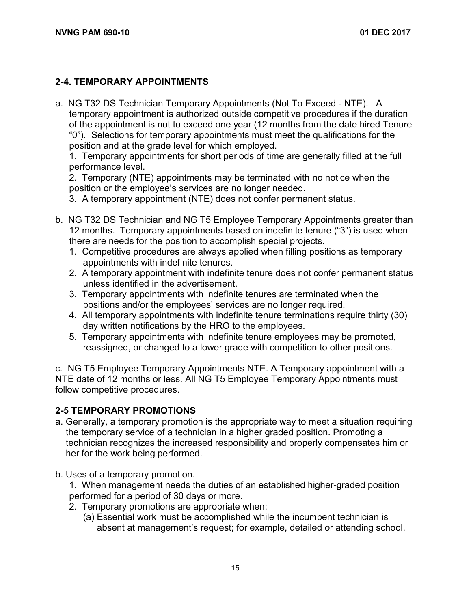#### **2-4. TEMPORARY APPOINTMENTS**

a. NG T32 DS Technician Temporary Appointments (Not To Exceed - NTE). A temporary appointment is authorized outside competitive procedures if the duration of the appointment is not to exceed one year (12 months from the date hired Tenure "0"). Selections for temporary appointments must meet the qualifications for the position and at the grade level for which employed.

1. Temporary appointments for short periods of time are generally filled at the full performance level.

2. Temporary (NTE) appointments may be terminated with no notice when the position or the employee's services are no longer needed.

3. A temporary appointment (NTE) does not confer permanent status.

- b. NG T32 DS Technician and NG T5 Employee Temporary Appointments greater than 12 months. Temporary appointments based on indefinite tenure ("3") is used when there are needs for the position to accomplish special projects.
	- 1. Competitive procedures are always applied when filling positions as temporary appointments with indefinite tenures.
	- 2. A temporary appointment with indefinite tenure does not confer permanent status unless identified in the advertisement.
	- 3. Temporary appointments with indefinite tenures are terminated when the positions and/or the employees' services are no longer required.
	- 4. All temporary appointments with indefinite tenure terminations require thirty (30) day written notifications by the HRO to the employees.
	- 5. Temporary appointments with indefinite tenure employees may be promoted, reassigned, or changed to a lower grade with competition to other positions.

c. NG T5 Employee Temporary Appointments NTE. A Temporary appointment with a NTE date of 12 months or less. All NG T5 Employee Temporary Appointments must follow competitive procedures.

#### **2-5 TEMPORARY PROMOTIONS**

- a. Generally, a temporary promotion is the appropriate way to meet a situation requiring the temporary service of a technician in a higher graded position. Promoting a technician recognizes the increased responsibility and properly compensates him or her for the work being performed.
- b. Uses of a temporary promotion.

1. When management needs the duties of an established higher-graded position performed for a period of 30 days or more.

- 2. Temporary promotions are appropriate when:
	- (a) Essential work must be accomplished while the incumbent technician is absent at management's request; for example, detailed or attending school.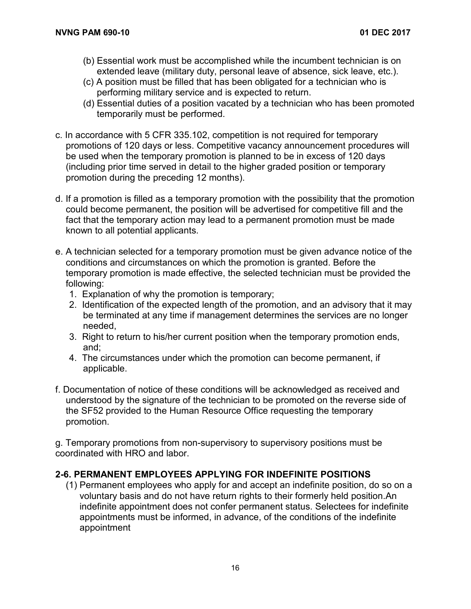- (b) Essential work must be accomplished while the incumbent technician is on extended leave (military duty, personal leave of absence, sick leave, etc.).
- (c) A position must be filled that has been obligated for a technician who is performing military service and is expected to return.
- (d) Essential duties of a position vacated by a technician who has been promoted temporarily must be performed.
- c. In accordance with 5 CFR 335.102, competition is not required for temporary promotions of 120 days or less. Competitive vacancy announcement procedures will be used when the temporary promotion is planned to be in excess of 120 days (including prior time served in detail to the higher graded position or temporary promotion during the preceding 12 months).
- d. If a promotion is filled as a temporary promotion with the possibility that the promotion could become permanent, the position will be advertised for competitive fill and the fact that the temporary action may lead to a permanent promotion must be made known to all potential applicants.
- e. A technician selected for a temporary promotion must be given advance notice of the conditions and circumstances on which the promotion is granted. Before the temporary promotion is made effective, the selected technician must be provided the following:
	- 1. Explanation of why the promotion is temporary;
	- 2. Identification of the expected length of the promotion, and an advisory that it may be terminated at any time if management determines the services are no longer needed,
	- 3. Right to return to his/her current position when the temporary promotion ends, and;
	- 4. The circumstances under which the promotion can become permanent, if applicable.
- f. Documentation of notice of these conditions will be acknowledged as received and understood by the signature of the technician to be promoted on the reverse side of the SF52 provided to the Human Resource Office requesting the temporary promotion.

g. Temporary promotions from non-supervisory to supervisory positions must be coordinated with HRO and labor.

#### **2-6. PERMANENT EMPLOYEES APPLYING FOR INDEFINITE POSITIONS**

(1) Permanent employees who apply for and accept an indefinite position, do so on a voluntary basis and do not have return rights to their formerly held position.An indefinite appointment does not confer permanent status. Selectees for indefinite appointments must be informed, in advance, of the conditions of the indefinite appointment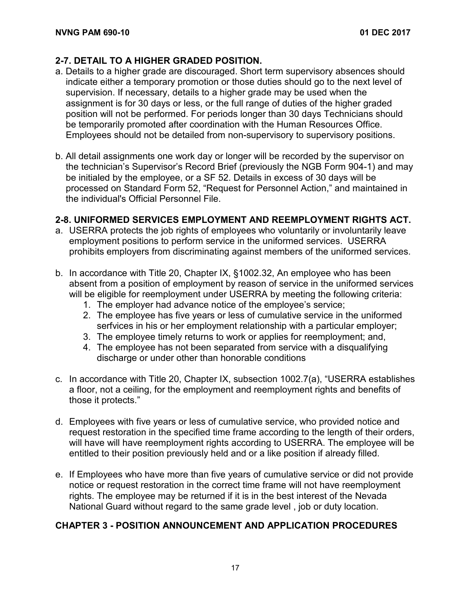#### **2-7. DETAIL TO A HIGHER GRADED POSITION.**

- a. Details to a higher grade are discouraged. Short term supervisory absences should indicate either a temporary promotion or those duties should go to the next level of supervision. If necessary, details to a higher grade may be used when the assignment is for 30 days or less, or the full range of duties of the higher graded position will not be performed. For periods longer than 30 days Technicians should be temporarily promoted after coordination with the Human Resources Office. Employees should not be detailed from non-supervisory to supervisory positions.
- b. All detail assignments one work day or longer will be recorded by the supervisor on the technician's Supervisor's Record Brief (previously the NGB Form 904-1) and may be initialed by the employee, or a SF 52. Details in excess of 30 days will be processed on Standard Form 52, "Request for Personnel Action," and maintained in the individual's Official Personnel File.

#### **2-8. UNIFORMED SERVICES EMPLOYMENT AND REEMPLOYMENT RIGHTS ACT.**

- a. USERRA protects the job rights of employees who voluntarily or involuntarily leave employment positions to perform service in the uniformed services. USERRA prohibits employers from discriminating against members of the uniformed services.
- b. In accordance with Title 20, Chapter IX, §1002.32, An employee who has been absent from a position of employment by reason of service in the uniformed services will be eligible for reemployment under USERRA by meeting the following criteria:
	- 1. The employer had advance notice of the employee's service;
	- 2. The employee has five years or less of cumulative service in the uniformed serfvices in his or her employment relationship with a particular employer;
	- 3. The employee timely returns to work or applies for reemployment; and,
	- 4. The employee has not been separated from service with a disqualifying discharge or under other than honorable conditions
- c. In accordance with Title 20, Chapter IX, subsection 1002.7(a), "USERRA establishes a floor, not a ceiling, for the employment and reemployment rights and benefits of those it protects."
- d. Employees with five years or less of cumulative service, who provided notice and request restoration in the specified time frame according to the length of their orders, will have will have reemployment rights according to USERRA. The employee will be entitled to their position previously held and or a like position if already filled.
- e. If Employees who have more than five years of cumulative service or did not provide notice or request restoration in the correct time frame will not have reemployment rights. The employee may be returned if it is in the best interest of the Nevada National Guard without regard to the same grade level , job or duty location.

### **CHAPTER 3 - POSITION ANNOUNCEMENT AND APPLICATION PROCEDURES**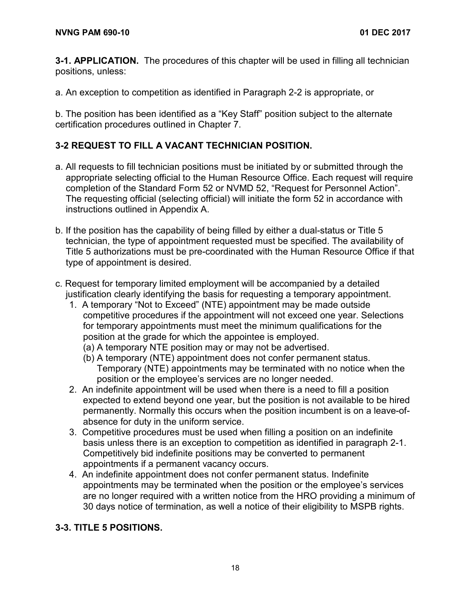**3-1. APPLICATION.** The procedures of this chapter will be used in filling all technician positions, unless:

a. An exception to competition as identified in Paragraph 2-2 is appropriate, or

b. The position has been identified as a "Key Staff" position subject to the alternate certification procedures outlined in Chapter 7.

#### **3-2 REQUEST TO FILL A VACANT TECHNICIAN POSITION.**

- a. All requests to fill technician positions must be initiated by or submitted through the appropriate selecting official to the Human Resource Office. Each request will require completion of the Standard Form 52 or NVMD 52, "Request for Personnel Action". The requesting official (selecting official) will initiate the form 52 in accordance with instructions outlined in Appendix A.
- b. If the position has the capability of being filled by either a dual-status or Title 5 technician, the type of appointment requested must be specified. The availability of Title 5 authorizations must be pre-coordinated with the Human Resource Office if that type of appointment is desired.
- c. Request for temporary limited employment will be accompanied by a detailed justification clearly identifying the basis for requesting a temporary appointment.
	- 1. A temporary "Not to Exceed" (NTE) appointment may be made outside competitive procedures if the appointment will not exceed one year. Selections for temporary appointments must meet the minimum qualifications for the position at the grade for which the appointee is employed.
		- (a) A temporary NTE position may or may not be advertised.
		- (b) A temporary (NTE) appointment does not confer permanent status. Temporary (NTE) appointments may be terminated with no notice when the position or the employee's services are no longer needed.
	- 2. An indefinite appointment will be used when there is a need to fill a position expected to extend beyond one year, but the position is not available to be hired permanently. Normally this occurs when the position incumbent is on a leave-ofabsence for duty in the uniform service.
	- 3. Competitive procedures must be used when filling a position on an indefinite basis unless there is an exception to competition as identified in paragraph 2-1. Competitively bid indefinite positions may be converted to permanent appointments if a permanent vacancy occurs.
	- 4. An indefinite appointment does not confer permanent status. Indefinite appointments may be terminated when the position or the employee's services are no longer required with a written notice from the HRO providing a minimum of 30 days notice of termination, as well a notice of their eligibility to MSPB rights.

#### **3-3. TITLE 5 POSITIONS.**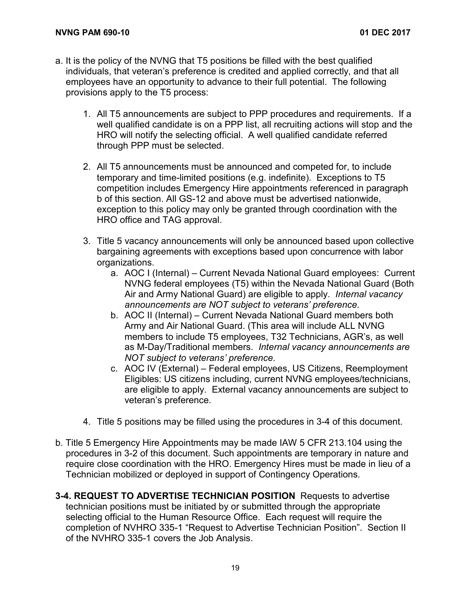- a. It is the policy of the NVNG that T5 positions be filled with the best qualified individuals, that veteran's preference is credited and applied correctly, and that all employees have an opportunity to advance to their full potential. The following provisions apply to the T5 process:
	- 1. All T5 announcements are subject to PPP procedures and requirements. If a well qualified candidate is on a PPP list, all recruiting actions will stop and the HRO will notify the selecting official. A well qualified candidate referred through PPP must be selected.
	- 2. All T5 announcements must be announced and competed for, to include temporary and time-limited positions (e.g. indefinite). Exceptions to T5 competition includes Emergency Hire appointments referenced in paragraph b of this section. All GS-12 and above must be advertised nationwide, exception to this policy may only be granted through coordination with the HRO office and TAG approval.
	- 3. Title 5 vacancy announcements will only be announced based upon collective bargaining agreements with exceptions based upon concurrence with labor organizations.
		- a. AOC I (Internal) Current Nevada National Guard employees: Current NVNG federal employees (T5) within the Nevada National Guard (Both Air and Army National Guard) are eligible to apply. *Internal vacancy announcements are NOT subject to veterans' preference.*
		- b. AOC II (Internal) Current Nevada National Guard members both Army and Air National Guard. (This area will include ALL NVNG members to include T5 employees, T32 Technicians, AGR's, as well as M-Day/Traditional members. *Internal vacancy announcements are NOT subject to veterans' preference.*
		- c. AOC IV (External) Federal employees, US Citizens, Reemployment Eligibles: US citizens including, current NVNG employees/technicians, are eligible to apply. External vacancy announcements are subject to veteran's preference.
	- 4. Title 5 positions may be filled using the procedures in 3-4 of this document.
- b. Title 5 Emergency Hire Appointments may be made IAW 5 CFR 213.104 using the procedures in 3-2 of this document. Such appointments are temporary in nature and require close coordination with the HRO. Emergency Hires must be made in lieu of a Technician mobilized or deployed in support of Contingency Operations.
- **3-4. REQUEST TO ADVERTISE TECHNICIAN POSITION** Requests to advertise technician positions must be initiated by or submitted through the appropriate selecting official to the Human Resource Office. Each request will require the completion of NVHRO 335-1 "Request to Advertise Technician Position". Section II of the NVHRO 335-1 covers the Job Analysis.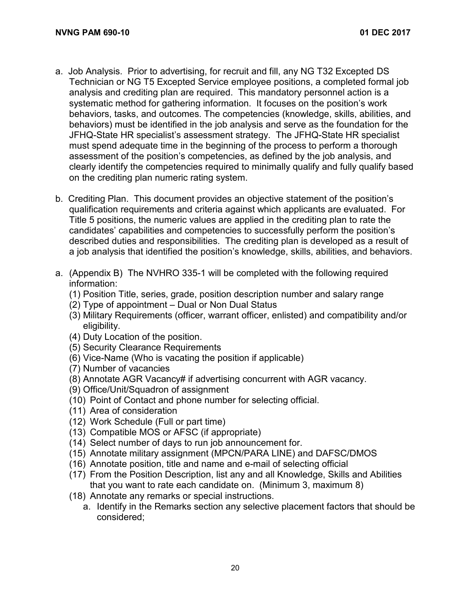- a. Job Analysis. Prior to advertising, for recruit and fill, any NG T32 Excepted DS Technician or NG T5 Excepted Service employee positions, a completed formal job analysis and crediting plan are required. This mandatory personnel action is a systematic method for gathering information. It focuses on the position's work behaviors, tasks, and outcomes. The competencies (knowledge, skills, abilities, and behaviors) must be identified in the job analysis and serve as the foundation for the JFHQ-State HR specialist's assessment strategy. The JFHQ-State HR specialist must spend adequate time in the beginning of the process to perform a thorough assessment of the position's competencies, as defined by the job analysis, and clearly identify the competencies required to minimally qualify and fully qualify based on the crediting plan numeric rating system.
- b. Crediting Plan. This document provides an objective statement of the position's qualification requirements and criteria against which applicants are evaluated. For Title 5 positions, the numeric values are applied in the crediting plan to rate the candidates' capabilities and competencies to successfully perform the position's described duties and responsibilities. The crediting plan is developed as a result of a job analysis that identified the position's knowledge, skills, abilities, and behaviors.
- a. (Appendix B) The NVHRO 335-1 will be completed with the following required information:
	- (1) Position Title, series, grade, position description number and salary range
	- (2) Type of appointment Dual or Non Dual Status
	- (3) Military Requirements (officer, warrant officer, enlisted) and compatibility and/or eligibility.
	- (4) Duty Location of the position.
	- (5) Security Clearance Requirements
	- (6) Vice-Name (Who is vacating the position if applicable)
	- (7) Number of vacancies
	- (8) Annotate AGR Vacancy# if advertising concurrent with AGR vacancy.
	- (9) Office/Unit/Squadron of assignment
	- (10) Point of Contact and phone number for selecting official.
	- (11) Area of consideration
	- (12) Work Schedule (Full or part time)
	- (13) Compatible MOS or AFSC (if appropriate)
	- (14) Select number of days to run job announcement for.
	- (15) Annotate military assignment (MPCN/PARA LINE) and DAFSC/DMOS
	- (16) Annotate position, title and name and e-mail of selecting official
	- (17) From the Position Description, list any and all Knowledge, Skills and Abilities that you want to rate each candidate on. (Minimum 3, maximum 8)
	- (18) Annotate any remarks or special instructions.
		- a. Identify in the Remarks section any selective placement factors that should be considered;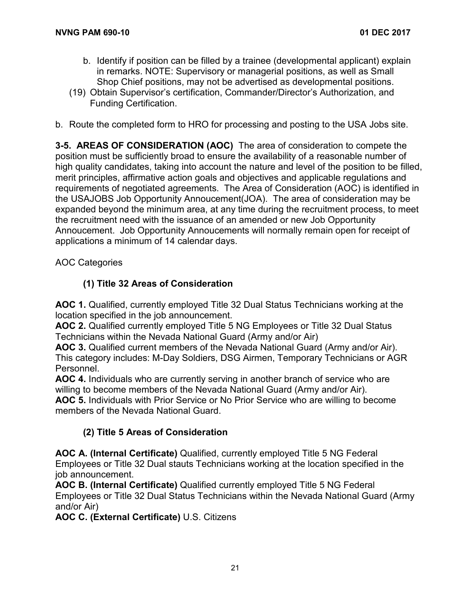- b. Identify if position can be filled by a trainee (developmental applicant) explain in remarks. NOTE: Supervisory or managerial positions, as well as Small Shop Chief positions, may not be advertised as developmental positions.
- (19) Obtain Supervisor's certification, Commander/Director's Authorization, and Funding Certification.
- b. Route the completed form to HRO for processing and posting to the USA Jobs site.

**3-5. AREAS OF CONSIDERATION (AOC)** The area of consideration to compete the position must be sufficiently broad to ensure the availability of a reasonable number of high quality candidates, taking into account the nature and level of the position to be filled, merit principles, affirmative action goals and objectives and applicable regulations and requirements of negotiated agreements. The Area of Consideration (AOC) is identified in the USAJOBS Job Opportunity Annoucement(JOA). The area of consideration may be expanded beyond the minimum area, at any time during the recruitment process, to meet the recruitment need with the issuance of an amended or new Job Opportunity Annoucement. Job Opportunity Annoucements will normally remain open for receipt of applications a minimum of 14 calendar days.

AOC Categories

#### **(1) Title 32 Areas of Consideration**

**AOC 1.** Qualified, currently employed Title 32 Dual Status Technicians working at the location specified in the job announcement.

**AOC 2.** Qualified currently employed Title 5 NG Employees or Title 32 Dual Status Technicians within the Nevada National Guard (Army and/or Air)

**AOC 3.** Qualified current members of the Nevada National Guard (Army and/or Air). This category includes: M-Day Soldiers, DSG Airmen, Temporary Technicians or AGR Personnel.

**AOC 4.** Individuals who are currently serving in another branch of service who are willing to become members of the Nevada National Guard (Army and/or Air). **AOC 5.** Individuals with Prior Service or No Prior Service who are willing to become members of the Nevada National Guard.

#### **(2) Title 5 Areas of Consideration**

**AOC A. (Internal Certificate)** Qualified, currently employed Title 5 NG Federal Employees or Title 32 Dual stauts Technicians working at the location specified in the job announcement.

**AOC B. (Internal Certificate)** Qualified currently employed Title 5 NG Federal Employees or Title 32 Dual Status Technicians within the Nevada National Guard (Army and/or Air)

**AOC C. (External Certificate)** U.S. Citizens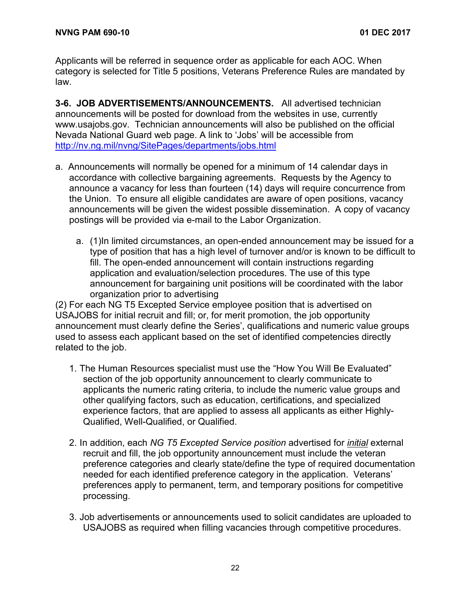Applicants will be referred in sequence order as applicable for each AOC. When category is selected for Title 5 positions, Veterans Preference Rules are mandated by law.

**3-6. JOB ADVERTISEMENTS/ANNOUNCEMENTS.** All advertised technician announcements will be posted for download from the websites in use, currently www.usajobs.gov. Technician announcements will also be published on the official Nevada National Guard web page. A link to 'Jobs' will be accessible from <http://nv.ng.mil/nvng/SitePages/departments/jobs.html>

- a. Announcements will normally be opened for a minimum of 14 calendar days in accordance with collective bargaining agreements. Requests by the Agency to announce a vacancy for less than fourteen (14) days will require concurrence from the Union. To ensure all eligible candidates are aware of open positions, vacancy announcements will be given the widest possible dissemination. A copy of vacancy postings will be provided via e-mail to the Labor Organization.
	- a. (1)In limited circumstances, an open-ended announcement may be issued for a type of position that has a high level of turnover and/or is known to be difficult to fill. The open-ended announcement will contain instructions regarding application and evaluation/selection procedures. The use of this type announcement for bargaining unit positions will be coordinated with the labor organization prior to advertising

(2) For each NG T5 Excepted Service employee position that is advertised on USAJOBS for initial recruit and fill; or, for merit promotion, the job opportunity announcement must clearly define the Series', qualifications and numeric value groups used to assess each applicant based on the set of identified competencies directly related to the job.

- 1. The Human Resources specialist must use the "How You Will Be Evaluated" section of the job opportunity announcement to clearly communicate to applicants the numeric rating criteria, to include the numeric value groups and other qualifying factors, such as education, certifications, and specialized experience factors, that are applied to assess all applicants as either Highly-Qualified, Well-Qualified, or Qualified.
- 2. In addition, each *NG T5 Excepted Service position* advertised for *initial* external recruit and fill, the job opportunity announcement must include the veteran preference categories and clearly state/define the type of required documentation needed for each identified preference category in the application. Veterans' preferences apply to permanent, term, and temporary positions for competitive processing.
- 3. Job advertisements or announcements used to solicit candidates are uploaded to USAJOBS as required when filling vacancies through competitive procedures.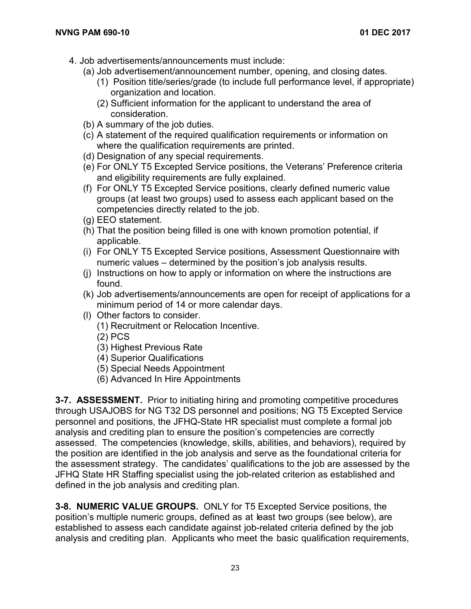- 4. Job advertisements/announcements must include:
	- (a) Job advertisement/announcement number, opening, and closing dates.
		- (1) Position title/series/grade (to include full performance level, if appropriate) organization and location.
		- (2) Sufficient information for the applicant to understand the area of consideration.
	- (b) A summary of the job duties.
	- (c) A statement of the required qualification requirements or information on where the qualification requirements are printed.
	- (d) Designation of any special requirements.
	- (e) For ONLY T5 Excepted Service positions, the Veterans' Preference criteria and eligibility requirements are fully explained.
	- (f) For ONLY T5 Excepted Service positions, clearly defined numeric value groups (at least two groups) used to assess each applicant based on the competencies directly related to the job.
	- (g) EEO statement.
	- (h) That the position being filled is one with known promotion potential, if applicable.
	- (i) For ONLY T5 Excepted Service positions, Assessment Questionnaire with numeric values – determined by the position's job analysis results.
	- (j) Instructions on how to apply or information on where the instructions are found.
	- (k) Job advertisements/announcements are open for receipt of applications for a minimum period of 14 or more calendar days.
	- (l) Other factors to consider.
		- (1) Recruitment or Relocation Incentive.
		- (2) PCS
		- (3) Highest Previous Rate
		- (4) Superior Qualifications
		- (5) Special Needs Appointment
		- (6) Advanced In Hire Appointments

**3-7. ASSESSMENT.** Prior to initiating hiring and promoting competitive procedures through USAJOBS for NG T32 DS personnel and positions; NG T5 Excepted Service personnel and positions, the JFHQ-State HR specialist must complete a formal job analysis and crediting plan to ensure the position's competencies are correctly assessed. The competencies (knowledge, skills, abilities, and behaviors), required by the position are identified in the job analysis and serve as the foundational criteria for the assessment strategy. The candidates' qualifications to the job are assessed by the JFHQ State HR Staffing specialist using the job-related criterion as established and defined in the job analysis and crediting plan.

**3-8. NUMERIC VALUE GROUPS.** ONLY for T5 Excepted Service positions, the position's multiple numeric groups, defined as at least two groups (see below), are established to assess each candidate against job-related criteria defined by the job analysis and crediting plan. Applicants who meet the basic qualification requirements,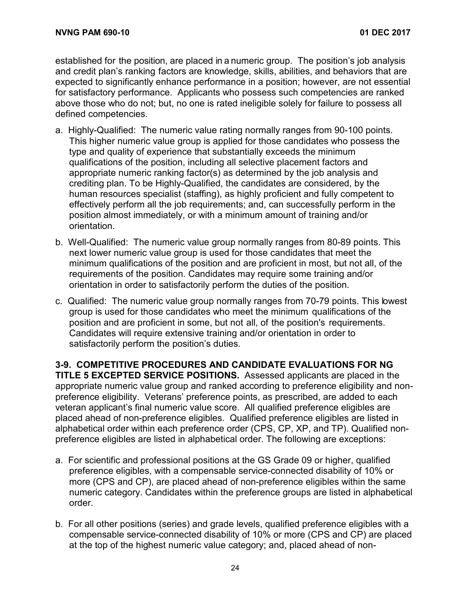established for the position, are placed in a numeric group. The position's job analysis and credit plan's ranking factors are knowledge, skills, abilities, and behaviors that are expected to significantly enhance performance in a position; however, are not essential for satisfactory performance. Applicants who possess such competencies are ranked above those who do not; but, no one is rated ineligible solely for failure to possess all defined competencies.

- a. Highly-Qualified:The numeric value rating normally ranges from 90-100 points. This higher numeric value group is applied for those candidates who possess the type and quality of experience that substantially exceeds the minimum qualifications of the position, including all selective placement factors and appropriate numeric ranking factor(s) as determined by the job analysis and crediting plan. To be Highly-Qualified, the candidates are considered, by the human resources specialist (staffing), as highly proficient and fully competent to effectively perform all the job requirements; and, can successfully perform in the position almost immediately, or with a minimum amount of training and/or orientation.
- b. Well-Qualified: The numeric value group normally ranges from 80-89 points. This next lower numeric value group is used for those candidates that meet the minimum qualifications of the position and are proficient in most, but not all, of the requirements of the position. Candidates may require some training and/or orientation in order to satisfactorily perform the duties of the position.
- c. Qualified:The numeric value group normally ranges from 70-79 points. This lowest group is used for those candidates who meet the minimum qualifications of the position and are proficient in some, but not all, of the position's requirements. Candidates will require extensive training and/or orientation in order to satisfactorily perform the position's duties.

**3-9. COMPETITIVE PROCEDURES AND CANDIDATE EVALUATIONS FOR NG TITLE 5 EXCEPTED SERVICE POSITIONS.** Assessed applicants are placed in the appropriate numeric value group and ranked according to preference eligibility and nonpreference eligibility. Veterans' preference points, as prescribed, are added to each veteran applicant's final numeric value score. All qualified preference eligibles are placed ahead of non-preference eligibles. Qualified preference eligibles are listed in alphabetical order within each preference order (CPS, CP, XP, and TP). Qualified nonpreference eligibles are listed in alphabetical order. The following are exceptions:

- a. For scientific and professional positions at the GS Grade 09 or higher, qualified preference eligibles, with a compensable service-connected disability of 10% or more (CPS and CP), are placed ahead of non-preference eligibles within the same numeric category. Candidates within the preference groups are listed in alphabetical order.
- b. For all other positions (series) and grade levels, qualified preference eligibles with a compensable service-connected disability of 10% or more (CPS and CP) are placed at the top of the highest numeric value category; and, placed ahead of non-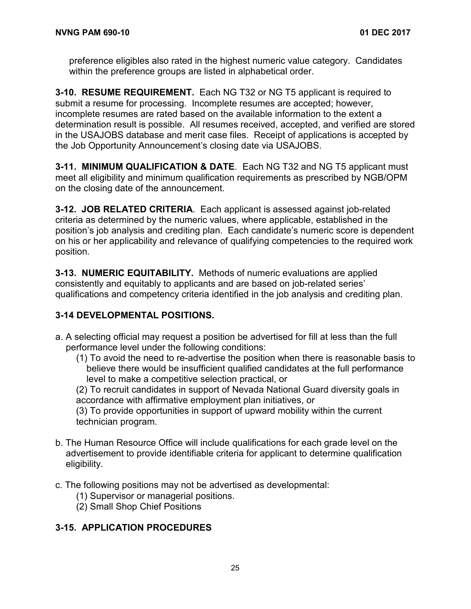preference eligibles also rated in the highest numeric value category. Candidates within the preference groups are listed in alphabetical order.

**3-10. RESUME REQUIREMENT.** Each NG T32 or NG T5 applicant is required to submit a resume for processing. Incomplete resumes are accepted; however, incomplete resumes are rated based on the available information to the extent a determination result is possible. All resumes received, accepted, and verified are stored in the USAJOBS database and merit case files. Receipt of applications is accepted by the Job Opportunity Announcement's closing date via USAJOBS.

**3-11. MINIMUM QUALIFICATION & DATE**. Each NG T32 and NG T5 applicant must meet all eligibility and minimum qualification requirements as prescribed by NGB/OPM on the closing date of the announcement.

**3-12. JOB RELATED CRITERIA**. Each applicant is assessed against job-related criteria as determined by the numeric values, where applicable, established in the position's job analysis and crediting plan. Each candidate's numeric score is dependent on his or her applicability and relevance of qualifying competencies to the required work position.

**3-13. NUMERIC EQUITABILITY.** Methods of numeric evaluations are applied consistently and equitably to applicants and are based on job-related series' qualifications and competency criteria identified in the job analysis and crediting plan.

#### **3-14 DEVELOPMENTAL POSITIONS.**

- a. A selecting official may request a position be advertised for fill at less than the full performance level under the following conditions:
	- (1) To avoid the need to re-advertise the position when there is reasonable basis to believe there would be insufficient qualified candidates at the full performance level to make a competitive selection practical, or

(2) To recruit candidates in support of Nevada National Guard diversity goals in accordance with affirmative employment plan initiatives, or

(3) To provide opportunities in support of upward mobility within the current technician program.

- b. The Human Resource Office will include qualifications for each grade level on the advertisement to provide identifiable criteria for applicant to determine qualification eligibility.
- c. The following positions may not be advertised as developmental:
	- (1) Supervisor or managerial positions.
	- (2) Small Shop Chief Positions

### **3-15. APPLICATION PROCEDURES**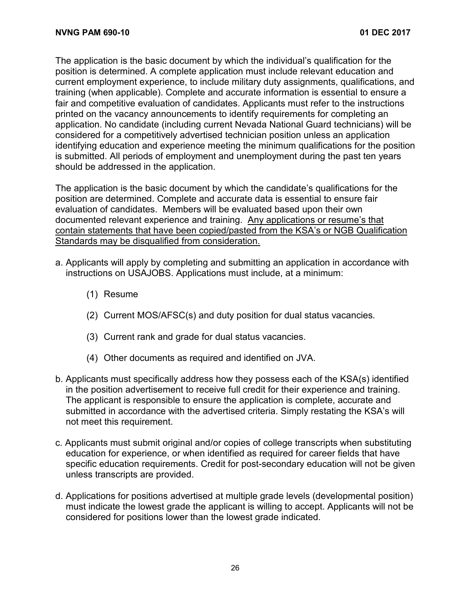The application is the basic document by which the individual's qualification for the position is determined. A complete application must include relevant education and current employment experience, to include military duty assignments, qualifications, and training (when applicable). Complete and accurate information is essential to ensure a fair and competitive evaluation of candidates. Applicants must refer to the instructions printed on the vacancy announcements to identify requirements for completing an application. No candidate (including current Nevada National Guard technicians) will be considered for a competitively advertised technician position unless an application identifying education and experience meeting the minimum qualifications for the position is submitted. All periods of employment and unemployment during the past ten years should be addressed in the application.

The application is the basic document by which the candidate's qualifications for the position are determined. Complete and accurate data is essential to ensure fair evaluation of candidates. Members will be evaluated based upon their own documented relevant experience and training. Any applications or resume's that contain statements that have been copied/pasted from the KSA's or NGB Qualification Standards may be disqualified from consideration.

- a. Applicants will apply by completing and submitting an application in accordance with instructions on USAJOBS. Applications must include, at a minimum:
	- (1) Resume
	- (2) Current MOS/AFSC(s) and duty position for dual status vacancies.
	- (3) Current rank and grade for dual status vacancies.
	- (4) Other documents as required and identified on JVA.
- b. Applicants must specifically address how they possess each of the KSA(s) identified in the position advertisement to receive full credit for their experience and training. The applicant is responsible to ensure the application is complete, accurate and submitted in accordance with the advertised criteria. Simply restating the KSA's will not meet this requirement.
- c. Applicants must submit original and/or copies of college transcripts when substituting education for experience, or when identified as required for career fields that have specific education requirements. Credit for post-secondary education will not be given unless transcripts are provided.
- d. Applications for positions advertised at multiple grade levels (developmental position) must indicate the lowest grade the applicant is willing to accept. Applicants will not be considered for positions lower than the lowest grade indicated.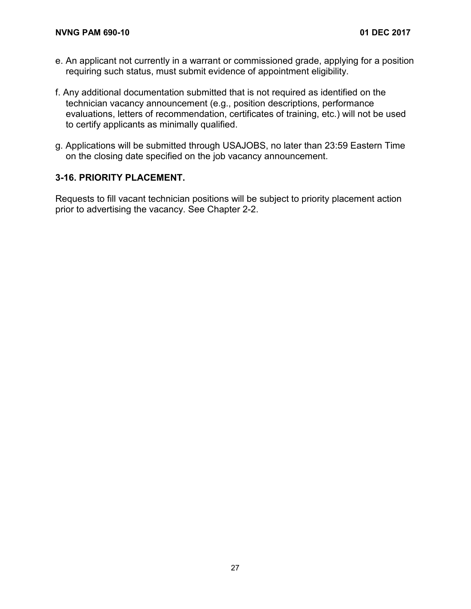- e. An applicant not currently in a warrant or commissioned grade, applying for a position requiring such status, must submit evidence of appointment eligibility.
- f. Any additional documentation submitted that is not required as identified on the technician vacancy announcement (e.g., position descriptions, performance evaluations, letters of recommendation, certificates of training, etc.) will not be used to certify applicants as minimally qualified.
- g. Applications will be submitted through USAJOBS, no later than 23:59 Eastern Time on the closing date specified on the job vacancy announcement.

#### **3-16. PRIORITY PLACEMENT.**

Requests to fill vacant technician positions will be subject to priority placement action prior to advertising the vacancy. See Chapter 2-2.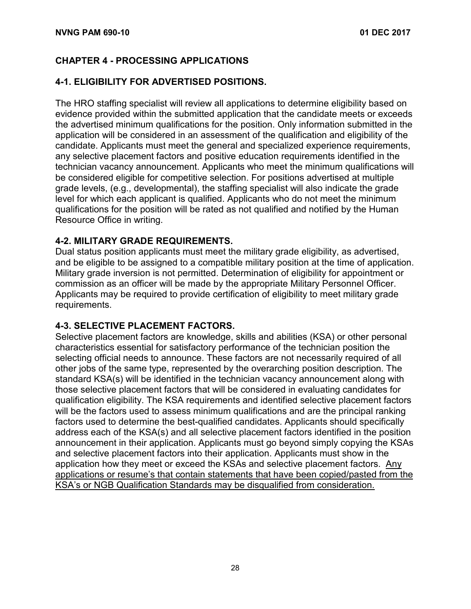#### **CHAPTER 4 - PROCESSING APPLICATIONS**

#### **4-1. ELIGIBILITY FOR ADVERTISED POSITIONS.**

The HRO staffing specialist will review all applications to determine eligibility based on evidence provided within the submitted application that the candidate meets or exceeds the advertised minimum qualifications for the position. Only information submitted in the application will be considered in an assessment of the qualification and eligibility of the candidate. Applicants must meet the general and specialized experience requirements, any selective placement factors and positive education requirements identified in the technician vacancy announcement. Applicants who meet the minimum qualifications will be considered eligible for competitive selection. For positions advertised at multiple grade levels, (e.g., developmental), the staffing specialist will also indicate the grade level for which each applicant is qualified. Applicants who do not meet the minimum qualifications for the position will be rated as not qualified and notified by the Human Resource Office in writing.

#### **4-2. MILITARY GRADE REQUIREMENTS.**

Dual status position applicants must meet the military grade eligibility, as advertised, and be eligible to be assigned to a compatible military position at the time of application. Military grade inversion is not permitted. Determination of eligibility for appointment or commission as an officer will be made by the appropriate Military Personnel Officer. Applicants may be required to provide certification of eligibility to meet military grade requirements.

#### **4-3. SELECTIVE PLACEMENT FACTORS.**

Selective placement factors are knowledge, skills and abilities (KSA) or other personal characteristics essential for satisfactory performance of the technician position the selecting official needs to announce. These factors are not necessarily required of all other jobs of the same type, represented by the overarching position description. The standard KSA(s) will be identified in the technician vacancy announcement along with those selective placement factors that will be considered in evaluating candidates for qualification eligibility. The KSA requirements and identified selective placement factors will be the factors used to assess minimum qualifications and are the principal ranking factors used to determine the best-qualified candidates. Applicants should specifically address each of the KSA(s) and all selective placement factors identified in the position announcement in their application. Applicants must go beyond simply copying the KSAs and selective placement factors into their application. Applicants must show in the application how they meet or exceed the KSAs and selective placement factors. Any applications or resume's that contain statements that have been copied/pasted from the KSA's or NGB Qualification Standards may be disqualified from consideration.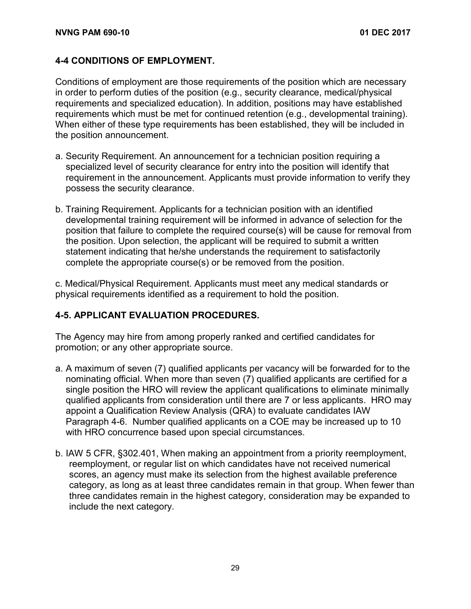#### **4-4 CONDITIONS OF EMPLOYMENT.**

Conditions of employment are those requirements of the position which are necessary in order to perform duties of the position (e.g., security clearance, medical/physical requirements and specialized education). In addition, positions may have established requirements which must be met for continued retention (e.g., developmental training). When either of these type requirements has been established, they will be included in the position announcement.

- a. Security Requirement. An announcement for a technician position requiring a specialized level of security clearance for entry into the position will identify that requirement in the announcement. Applicants must provide information to verify they possess the security clearance.
- b. Training Requirement. Applicants for a technician position with an identified developmental training requirement will be informed in advance of selection for the position that failure to complete the required course(s) will be cause for removal from the position. Upon selection, the applicant will be required to submit a written statement indicating that he/she understands the requirement to satisfactorily complete the appropriate course(s) or be removed from the position.

c. Medical/Physical Requirement. Applicants must meet any medical standards or physical requirements identified as a requirement to hold the position.

#### **4-5. APPLICANT EVALUATION PROCEDURES.**

The Agency may hire from among properly ranked and certified candidates for promotion; or any other appropriate source.

- a. A maximum of seven (7) qualified applicants per vacancy will be forwarded for to the nominating official. When more than seven (7) qualified applicants are certified for a single position the HRO will review the applicant qualifications to eliminate minimally qualified applicants from consideration until there are 7 or less applicants. HRO may appoint a Qualification Review Analysis (QRA) to evaluate candidates IAW Paragraph 4-6. Number qualified applicants on a COE may be increased up to 10 with HRO concurrence based upon special circumstances.
- b. IAW 5 CFR, §302.401, When making an appointment from a priority reemployment, reemployment, or regular list on which candidates have not received numerical scores, an agency must make its selection from the highest available preference category, as long as at least three candidates remain in that group. When fewer than three candidates remain in the highest category, consideration may be expanded to include the next category.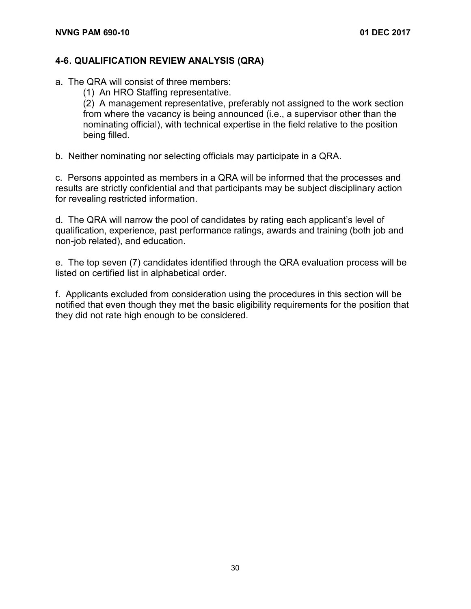#### **4-6. QUALIFICATION REVIEW ANALYSIS (QRA)**

- a. The QRA will consist of three members:
	- (1) An HRO Staffing representative.

(2) A management representative, preferably not assigned to the work section from where the vacancy is being announced (i.e., a supervisor other than the nominating official), with technical expertise in the field relative to the position being filled.

b. Neither nominating nor selecting officials may participate in a QRA.

c. Persons appointed as members in a QRA will be informed that the processes and results are strictly confidential and that participants may be subject disciplinary action for revealing restricted information.

d. The QRA will narrow the pool of candidates by rating each applicant's level of qualification, experience, past performance ratings, awards and training (both job and non-job related), and education.

e. The top seven (7) candidates identified through the QRA evaluation process will be listed on certified list in alphabetical order.

f. Applicants excluded from consideration using the procedures in this section will be notified that even though they met the basic eligibility requirements for the position that they did not rate high enough to be considered.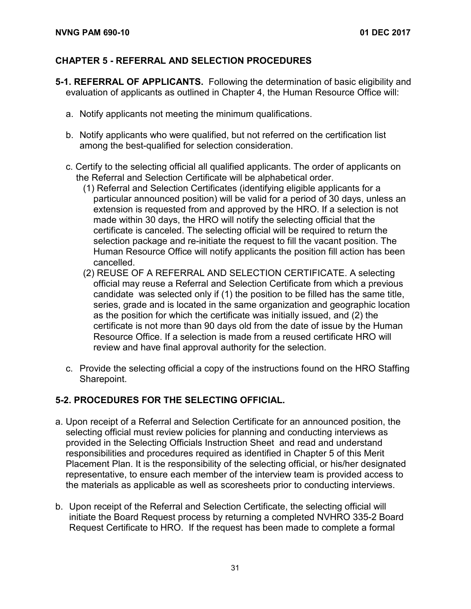#### **CHAPTER 5 - REFERRAL AND SELECTION PROCEDURES**

- **5-1. REFERRAL OF APPLICANTS.** Following the determination of basic eligibility and evaluation of applicants as outlined in Chapter 4, the Human Resource Office will:
	- a. Notify applicants not meeting the minimum qualifications.
	- b. Notify applicants who were qualified, but not referred on the certification list among the best-qualified for selection consideration.
	- c. Certify to the selecting official all qualified applicants. The order of applicants on the Referral and Selection Certificate will be alphabetical order.
		- (1) Referral and Selection Certificates (identifying eligible applicants for a particular announced position) will be valid for a period of 30 days, unless an extension is requested from and approved by the HRO. If a selection is not made within 30 days, the HRO will notify the selecting official that the certificate is canceled. The selecting official will be required to return the selection package and re-initiate the request to fill the vacant position. The Human Resource Office will notify applicants the position fill action has been cancelled.
		- (2) REUSE OF A REFERRAL AND SELECTION CERTIFICATE. A selecting official may reuse a Referral and Selection Certificate from which a previous candidate was selected only if (1) the position to be filled has the same title, series, grade and is located in the same organization and geographic location as the position for which the certificate was initially issued, and (2) the certificate is not more than 90 days old from the date of issue by the Human Resource Office. If a selection is made from a reused certificate HRO will review and have final approval authority for the selection.
	- c. Provide the selecting official a copy of the instructions found on the HRO Staffing Sharepoint.

#### **5-2. PROCEDURES FOR THE SELECTING OFFICIAL.**

- a. Upon receipt of a Referral and Selection Certificate for an announced position, the selecting official must review policies for planning and conducting interviews as provided in the Selecting Officials Instruction Sheet and read and understand responsibilities and procedures required as identified in Chapter 5 of this Merit Placement Plan. It is the responsibility of the selecting official, or his/her designated representative, to ensure each member of the interview team is provided access to the materials as applicable as well as scoresheets prior to conducting interviews.
- b. Upon receipt of the Referral and Selection Certificate, the selecting official will initiate the Board Request process by returning a completed NVHRO 335-2 Board Request Certificate to HRO. If the request has been made to complete a formal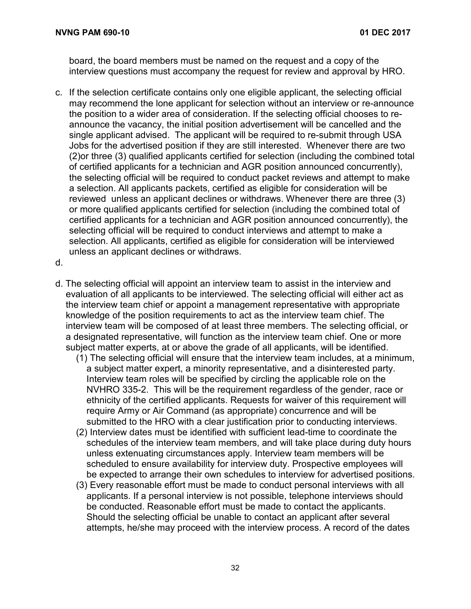board, the board members must be named on the request and a copy of the interview questions must accompany the request for review and approval by HRO.

- c. If the selection certificate contains only one eligible applicant, the selecting official may recommend the lone applicant for selection without an interview or re-announce the position to a wider area of consideration. If the selecting official chooses to reannounce the vacancy, the initial position advertisement will be cancelled and the single applicant advised. The applicant will be required to re-submit through USA Jobs for the advertised position if they are still interested. Whenever there are two (2)or three (3) qualified applicants certified for selection (including the combined total of certified applicants for a technician and AGR position announced concurrently), the selecting official will be required to conduct packet reviews and attempt to make a selection. All applicants packets, certified as eligible for consideration will be reviewed unless an applicant declines or withdraws. Whenever there are three (3) or more qualified applicants certified for selection (including the combined total of certified applicants for a technician and AGR position announced concurrently), the selecting official will be required to conduct interviews and attempt to make a selection. All applicants, certified as eligible for consideration will be interviewed unless an applicant declines or withdraws.
- d.
- d. The selecting official will appoint an interview team to assist in the interview and evaluation of all applicants to be interviewed. The selecting official will either act as the interview team chief or appoint a management representative with appropriate knowledge of the position requirements to act as the interview team chief. The interview team will be composed of at least three members. The selecting official, or a designated representative, will function as the interview team chief. One or more subject matter experts, at or above the grade of all applicants, will be identified.
	- (1) The selecting official will ensure that the interview team includes, at a minimum, a subject matter expert, a minority representative, and a disinterested party. Interview team roles will be specified by circling the applicable role on the NVHRO 335-2. This will be the requirement regardless of the gender, race or ethnicity of the certified applicants. Requests for waiver of this requirement will require Army or Air Command (as appropriate) concurrence and will be submitted to the HRO with a clear justification prior to conducting interviews.
	- (2) Interview dates must be identified with sufficient lead-time to coordinate the schedules of the interview team members, and will take place during duty hours unless extenuating circumstances apply. Interview team members will be scheduled to ensure availability for interview duty. Prospective employees will be expected to arrange their own schedules to interview for advertised positions.
	- (3) Every reasonable effort must be made to conduct personal interviews with all applicants. If a personal interview is not possible, telephone interviews should be conducted. Reasonable effort must be made to contact the applicants. Should the selecting official be unable to contact an applicant after several attempts, he/she may proceed with the interview process. A record of the dates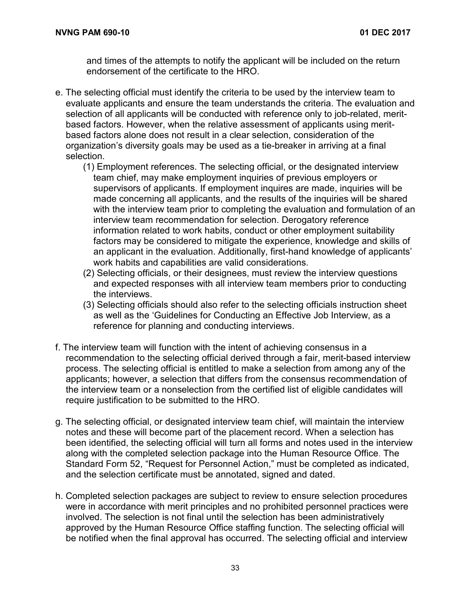and times of the attempts to notify the applicant will be included on the return endorsement of the certificate to the HRO.

- e. The selecting official must identify the criteria to be used by the interview team to evaluate applicants and ensure the team understands the criteria. The evaluation and selection of all applicants will be conducted with reference only to job-related, meritbased factors. However, when the relative assessment of applicants using meritbased factors alone does not result in a clear selection, consideration of the organization's diversity goals may be used as a tie-breaker in arriving at a final selection.
	- (1) Employment references. The selecting official, or the designated interview team chief, may make employment inquiries of previous employers or supervisors of applicants. If employment inquires are made, inquiries will be made concerning all applicants, and the results of the inquiries will be shared with the interview team prior to completing the evaluation and formulation of an interview team recommendation for selection. Derogatory reference information related to work habits, conduct or other employment suitability factors may be considered to mitigate the experience, knowledge and skills of an applicant in the evaluation. Additionally, first-hand knowledge of applicants' work habits and capabilities are valid considerations.
	- (2) Selecting officials, or their designees, must review the interview questions and expected responses with all interview team members prior to conducting the interviews.
	- (3) Selecting officials should also refer to the selecting officials instruction sheet as well as the 'Guidelines for Conducting an Effective Job Interview, as a reference for planning and conducting interviews.
- f. The interview team will function with the intent of achieving consensus in a recommendation to the selecting official derived through a fair, merit-based interview process. The selecting official is entitled to make a selection from among any of the applicants; however, a selection that differs from the consensus recommendation of the interview team or a nonselection from the certified list of eligible candidates will require justification to be submitted to the HRO.
- g. The selecting official, or designated interview team chief, will maintain the interview notes and these will become part of the placement record. When a selection has been identified, the selecting official will turn all forms and notes used in the interview along with the completed selection package into the Human Resource Office. The Standard Form 52, "Request for Personnel Action," must be completed as indicated, and the selection certificate must be annotated, signed and dated.
- h. Completed selection packages are subject to review to ensure selection procedures were in accordance with merit principles and no prohibited personnel practices were involved. The selection is not final until the selection has been administratively approved by the Human Resource Office staffing function. The selecting official will be notified when the final approval has occurred. The selecting official and interview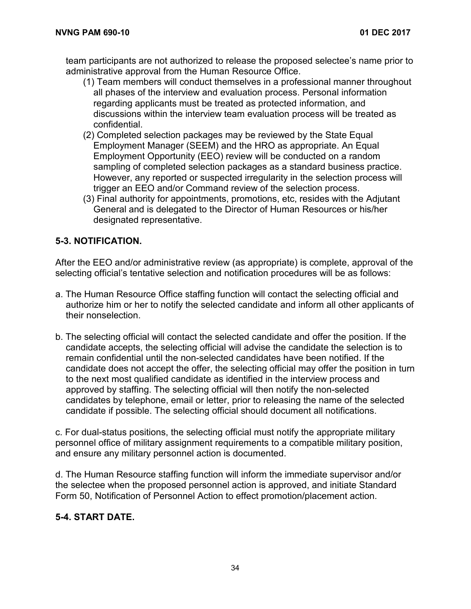team participants are not authorized to release the proposed selectee's name prior to administrative approval from the Human Resource Office.

- (1) Team members will conduct themselves in a professional manner throughout all phases of the interview and evaluation process. Personal information regarding applicants must be treated as protected information, and discussions within the interview team evaluation process will be treated as confidential.
- (2) Completed selection packages may be reviewed by the State Equal Employment Manager (SEEM) and the HRO as appropriate. An Equal Employment Opportunity (EEO) review will be conducted on a random sampling of completed selection packages as a standard business practice. However, any reported or suspected irregularity in the selection process will trigger an EEO and/or Command review of the selection process.
- (3) Final authority for appointments, promotions, etc, resides with the Adjutant General and is delegated to the Director of Human Resources or his/her designated representative.

#### **5-3. NOTIFICATION.**

After the EEO and/or administrative review (as appropriate) is complete, approval of the selecting official's tentative selection and notification procedures will be as follows:

- a. The Human Resource Office staffing function will contact the selecting official and authorize him or her to notify the selected candidate and inform all other applicants of their nonselection.
- b. The selecting official will contact the selected candidate and offer the position. If the candidate accepts, the selecting official will advise the candidate the selection is to remain confidential until the non-selected candidates have been notified. If the candidate does not accept the offer, the selecting official may offer the position in turn to the next most qualified candidate as identified in the interview process and approved by staffing. The selecting official will then notify the non-selected candidates by telephone, email or letter, prior to releasing the name of the selected candidate if possible. The selecting official should document all notifications.

c. For dual-status positions, the selecting official must notify the appropriate military personnel office of military assignment requirements to a compatible military position, and ensure any military personnel action is documented.

d. The Human Resource staffing function will inform the immediate supervisor and/or the selectee when the proposed personnel action is approved, and initiate Standard Form 50, Notification of Personnel Action to effect promotion/placement action.

#### **5-4. START DATE.**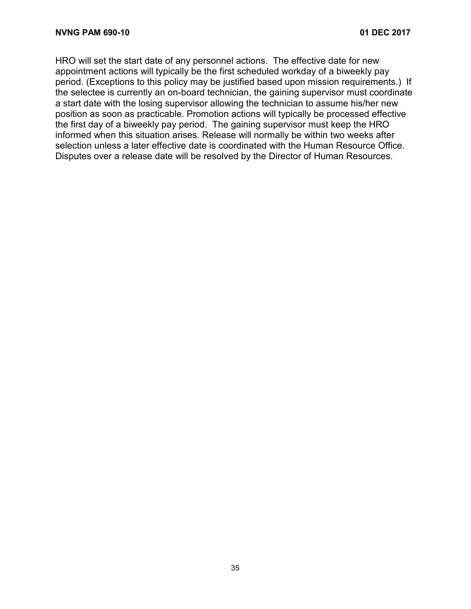HRO will set the start date of any personnel actions. The effective date for new appointment actions will typically be the first scheduled workday of a biweekly pay period. (Exceptions to this policy may be justified based upon mission requirements.) If the selectee is currently an on-board technician, the gaining supervisor must coordinate a start date with the losing supervisor allowing the technician to assume his/her new position as soon as practicable. Promotion actions will typically be processed effective the first day of a biweekly pay period. The gaining supervisor must keep the HRO informed when this situation arises. Release will normally be within two weeks after selection unless a later effective date is coordinated with the Human Resource Office. Disputes over a release date will be resolved by the Director of Human Resources.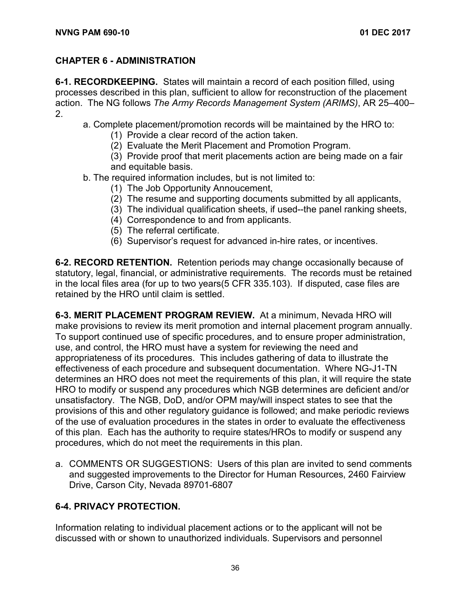#### **CHAPTER 6 - ADMINISTRATION**

**6-1. RECORDKEEPING.** States will maintain a record of each position filled, using processes described in this plan, sufficient to allow for reconstruction of the placement action. The NG follows *The Army Records Management System (ARIMS)*, AR 25–400– 2.

- a. Complete placement/promotion records will be maintained by the HRO to:
	- (1) Provide a clear record of the action taken.
	- (2) Evaluate the Merit Placement and Promotion Program.
	- (3) Provide proof that merit placements action are being made on a fair and equitable basis.
- b. The required information includes, but is not limited to:
	- (1) The Job Opportunity Annoucement,
	- (2) The resume and supporting documents submitted by all applicants,
	- (3) The individual qualification sheets, if used--the panel ranking sheets,
	- (4) Correspondence to and from applicants.
	- (5) The referral certificate.
	- (6) Supervisor's request for advanced in-hire rates, or incentives.

**6-2. RECORD RETENTION.** Retention periods may change occasionally because of statutory, legal, financial, or administrative requirements. The records must be retained in the local files area (for up to two years(5 CFR 335.103). If disputed, case files are retained by the HRO until claim is settled.

**6-3. MERIT PLACEMENT PROGRAM REVIEW.** At a minimum, Nevada HRO will make provisions to review its merit promotion and internal placement program annually. To support continued use of specific procedures, and to ensure proper administration, use, and control, the HRO must have a system for reviewing the need and appropriateness of its procedures. This includes gathering of data to illustrate the effectiveness of each procedure and subsequent documentation. Where NG-J1-TN determines an HRO does not meet the requirements of this plan, it will require the state HRO to modify or suspend any procedures which NGB determines are deficient and/or unsatisfactory. The NGB, DoD, and/or OPM may/will inspect states to see that the provisions of this and other regulatory guidance is followed; and make periodic reviews of the use of evaluation procedures in the states in order to evaluate the effectiveness of this plan. Each has the authority to require states/HROs to modify or suspend any procedures, which do not meet the requirements in this plan.

a. COMMENTS OR SUGGESTIONS:Users of this plan are invited to send comments and suggested improvements to the Director for Human Resources, 2460 Fairview Drive, Carson City, Nevada 89701-6807

#### **6-4. PRIVACY PROTECTION.**

Information relating to individual placement actions or to the applicant will not be discussed with or shown to unauthorized individuals. Supervisors and personnel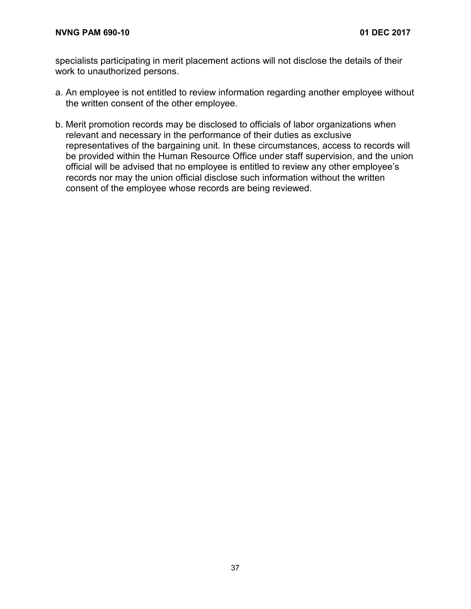specialists participating in merit placement actions will not disclose the details of their work to unauthorized persons.

- a. An employee is not entitled to review information regarding another employee without the written consent of the other employee.
- b. Merit promotion records may be disclosed to officials of labor organizations when relevant and necessary in the performance of their duties as exclusive representatives of the bargaining unit. In these circumstances, access to records will be provided within the Human Resource Office under staff supervision, and the union official will be advised that no employee is entitled to review any other employee's records nor may the union official disclose such information without the written consent of the employee whose records are being reviewed.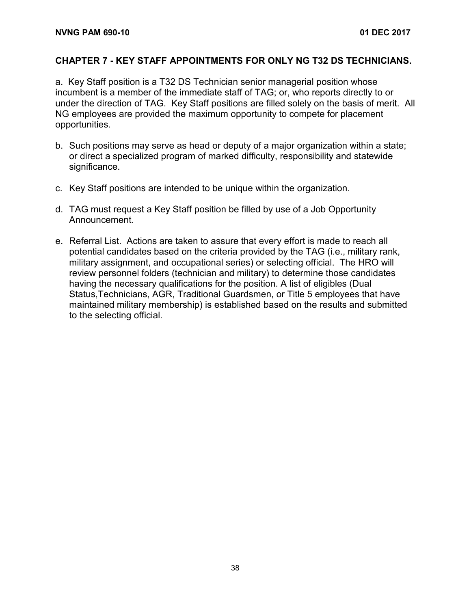#### **CHAPTER 7 - KEY STAFF APPOINTMENTS FOR ONLY NG T32 DS TECHNICIANS.**

a. Key Staff position is a T32 DS Technician senior managerial position whose incumbent is a member of the immediate staff of TAG; or, who reports directly to or under the direction of TAG. Key Staff positions are filled solely on the basis of merit. All NG employees are provided the maximum opportunity to compete for placement opportunities.

- b. Such positions may serve as head or deputy of a major organization within a state; or direct a specialized program of marked difficulty, responsibility and statewide significance.
- c. Key Staff positions are intended to be unique within the organization.
- d. TAG must request a Key Staff position be filled by use of a Job Opportunity Announcement.
- e. Referral List. Actions are taken to assure that every effort is made to reach all potential candidates based on the criteria provided by the TAG (i.e., military rank, military assignment, and occupational series) or selecting official. The HRO will review personnel folders (technician and military) to determine those candidates having the necessary qualifications for the position. A list of eligibles (Dual Status,Technicians, AGR, Traditional Guardsmen, or Title 5 employees that have maintained military membership) is established based on the results and submitted to the selecting official.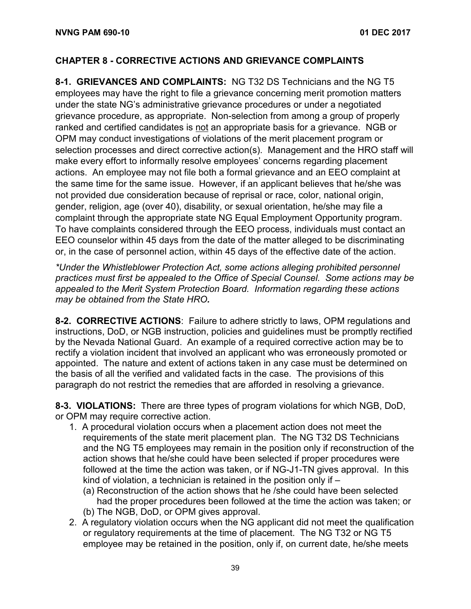#### **CHAPTER 8 - CORRECTIVE ACTIONS AND GRIEVANCE COMPLAINTS**

**8-1. GRIEVANCES AND COMPLAINTS:** NG T32 DS Technicians and the NG T5 employees may have the right to file a grievance concerning merit promotion matters under the state NG's administrative grievance procedures or under a negotiated grievance procedure, as appropriate. Non-selection from among a group of properly ranked and certified candidates is not an appropriate basis for a grievance. NGB or OPM may conduct investigations of violations of the merit placement program or selection processes and direct corrective action(s). Management and the HRO staff will make every effort to informally resolve employees' concerns regarding placement actions. An employee may not file both a formal grievance and an EEO complaint at the same time for the same issue. However, if an applicant believes that he/she was not provided due consideration because of reprisal or race, color, national origin, gender, religion, age (over 40), disability, or sexual orientation, he/she may file a complaint through the appropriate state NG Equal Employment Opportunity program. To have complaints considered through the EEO process, individuals must contact an EEO counselor within 45 days from the date of the matter alleged to be discriminating or, in the case of personnel action, within 45 days of the effective date of the action.

*\*Under the Whistleblower Protection Act, some actions alleging prohibited personnel practices must first be appealed to the Office of Special Counsel. Some actions may be appealed to the Merit System Protection Board. Information regarding these actions may be obtained from the State HRO.*

**8-2. CORRECTIVE ACTIONS**: Failure to adhere strictly to laws, OPM regulations and instructions, DoD, or NGB instruction, policies and guidelines must be promptly rectified by the Nevada National Guard. An example of a required corrective action may be to rectify a violation incident that involved an applicant who was erroneously promoted or appointed. The nature and extent of actions taken in any case must be determined on the basis of all the verified and validated facts in the case. The provisions of this paragraph do not restrict the remedies that are afforded in resolving a grievance.

**8-3. VIOLATIONS:** There are three types of program violations for which NGB, DoD, or OPM may require corrective action.

- 1. A procedural violation occurs when a placement action does not meet the requirements of the state merit placement plan. The NG T32 DS Technicians and the NG T5 employees may remain in the position only if reconstruction of the action shows that he/she could have been selected if proper procedures were followed at the time the action was taken, or if NG-J1-TN gives approval. In this kind of violation, a technician is retained in the position only if –
	- (a) Reconstruction of the action shows that he /she could have been selected had the proper procedures been followed at the time the action was taken; or
	- (b) The NGB, DoD, or OPM gives approval.
- 2. A regulatory violation occurs when the NG applicant did not meet the qualification or regulatory requirements at the time of placement. The NG T32 or NG T5 employee may be retained in the position, only if, on current date, he/she meets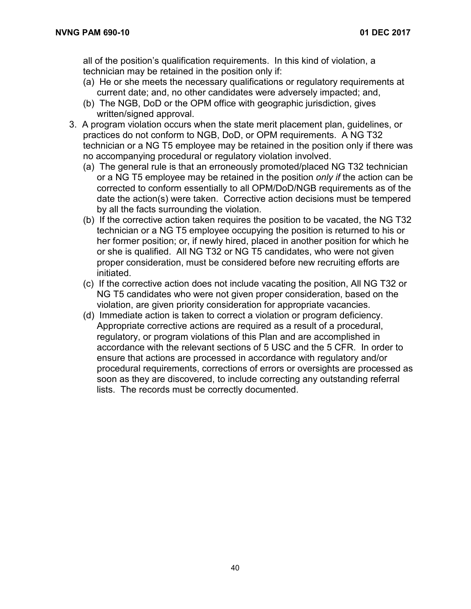all of the position's qualification requirements. In this kind of violation, a technician may be retained in the position only if:

- (a) He or she meets the necessary qualifications or regulatory requirements at current date; and, no other candidates were adversely impacted; and,
- (b) The NGB, DoD or the OPM office with geographic jurisdiction, gives written/signed approval.
- 3. A program violation occurs when the state merit placement plan, guidelines, or practices do not conform to NGB, DoD, or OPM requirements. A NG T32 technician or a NG T5 employee may be retained in the position only if there was no accompanying procedural or regulatory violation involved.
	- (a) The general rule is that an erroneously promoted/placed NG T32 technician or a NG T5 employee may be retained in the position *only if* the action can be corrected to conform essentially to all OPM/DoD/NGB requirements as of the date the action(s) were taken. Corrective action decisions must be tempered by all the facts surrounding the violation.
	- (b) If the corrective action taken requires the position to be vacated, the NG T32 technician or a NG T5 employee occupying the position is returned to his or her former position; or, if newly hired, placed in another position for which he or she is qualified. All NG T32 or NG T5 candidates, who were not given proper consideration, must be considered before new recruiting efforts are initiated.
	- (c) If the corrective action does not include vacating the position, All NG T32 or NG T5 candidates who were not given proper consideration, based on the violation, are given priority consideration for appropriate vacancies.
	- (d) Immediate action is taken to correct a violation or program deficiency. Appropriate corrective actions are required as a result of a procedural, regulatory, or program violations of this Plan and are accomplished in accordance with the relevant sections of 5 USC and the 5 CFR. In order to ensure that actions are processed in accordance with regulatory and/or procedural requirements, corrections of errors or oversights are processed as soon as they are discovered, to include correcting any outstanding referral lists. The records must be correctly documented.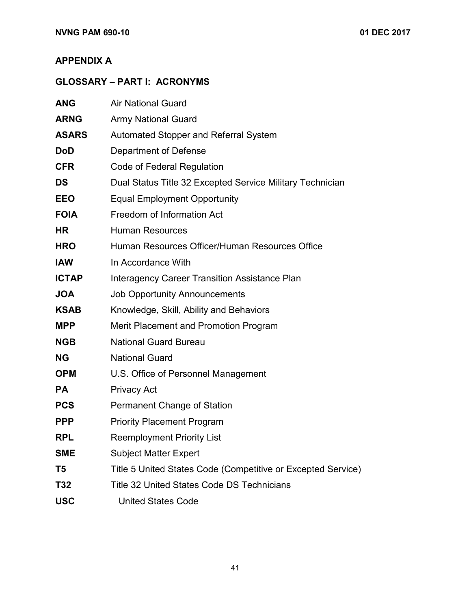#### **APPENDIX A**

### **GLOSSARY – PART I: ACRONYMS**

| <b>ANG</b>   | <b>Air National Guard</b>                                    |
|--------------|--------------------------------------------------------------|
| <b>ARNG</b>  | <b>Army National Guard</b>                                   |
| <b>ASARS</b> | <b>Automated Stopper and Referral System</b>                 |
| <b>DoD</b>   | Department of Defense                                        |
| <b>CFR</b>   | Code of Federal Regulation                                   |
| <b>DS</b>    | Dual Status Title 32 Excepted Service Military Technician    |
| <b>EEO</b>   | <b>Equal Employment Opportunity</b>                          |
| <b>FOIA</b>  | Freedom of Information Act                                   |
| <b>HR</b>    | <b>Human Resources</b>                                       |
| <b>HRO</b>   | Human Resources Officer/Human Resources Office               |
| <b>IAW</b>   | In Accordance With                                           |
| <b>ICTAP</b> | <b>Interagency Career Transition Assistance Plan</b>         |
| <b>JOA</b>   | <b>Job Opportunity Announcements</b>                         |
| <b>KSAB</b>  | Knowledge, Skill, Ability and Behaviors                      |
| <b>MPP</b>   | <b>Merit Placement and Promotion Program</b>                 |
| <b>NGB</b>   | <b>National Guard Bureau</b>                                 |
| <b>NG</b>    | <b>National Guard</b>                                        |
| <b>OPM</b>   | U.S. Office of Personnel Management                          |
| <b>PA</b>    | <b>Privacy Act</b>                                           |
| <b>PCS</b>   | <b>Permanent Change of Station</b>                           |
| <b>PPP</b>   | <b>Priority Placement Program</b>                            |
| <b>RPL</b>   | <b>Reemployment Priority List</b>                            |
| <b>SME</b>   | <b>Subject Matter Expert</b>                                 |
| T5           | Title 5 United States Code (Competitive or Excepted Service) |
| T32          | <b>Title 32 United States Code DS Technicians</b>            |
| <b>USC</b>   | <b>United States Code</b>                                    |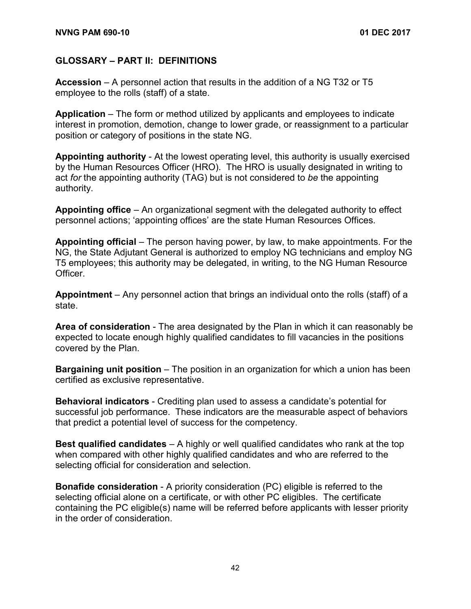#### **GLOSSARY – PART II: DEFINITIONS**

**Accession** – A personnel action that results in the addition of a NG T32 or T5 employee to the rolls (staff) of a state.

**Application** – The form or method utilized by applicants and employees to indicate interest in promotion, demotion, change to lower grade, or reassignment to a particular position or category of positions in the state NG.

**Appointing authority** - At the lowest operating level, this authority is usually exercised by the Human Resources Officer (HRO). The HRO is usually designated in writing to act *for* the appointing authority (TAG) but is not considered to *be* the appointing authority.

**Appointing office** – An organizational segment with the delegated authority to effect personnel actions; 'appointing offices' are the state Human Resources Offices.

**Appointing official** – The person having power, by law, to make appointments. For the NG, the State Adjutant General is authorized to employ NG technicians and employ NG T5 employees; this authority may be delegated, in writing, to the NG Human Resource Officer.

**Appointment** – Any personnel action that brings an individual onto the rolls (staff) of a state.

**Area of consideration** - The area designated by the Plan in which it can reasonably be expected to locate enough highly qualified candidates to fill vacancies in the positions covered by the Plan.

**Bargaining unit position** – The position in an organization for which a union has been certified as exclusive representative.

**Behavioral indicators** - Crediting plan used to assess a candidate's potential for successful job performance. These indicators are the measurable aspect of behaviors that predict a potential level of success for the competency.

**Best qualified candidates** – A highly or well qualified candidates who rank at the top when compared with other highly qualified candidates and who are referred to the selecting official for consideration and selection.

**Bonafide consideration** - A priority consideration (PC) eligible is referred to the selecting official alone on a certificate, or with other PC eligibles. The certificate containing the PC eligible(s) name will be referred before applicants with lesser priority in the order of consideration.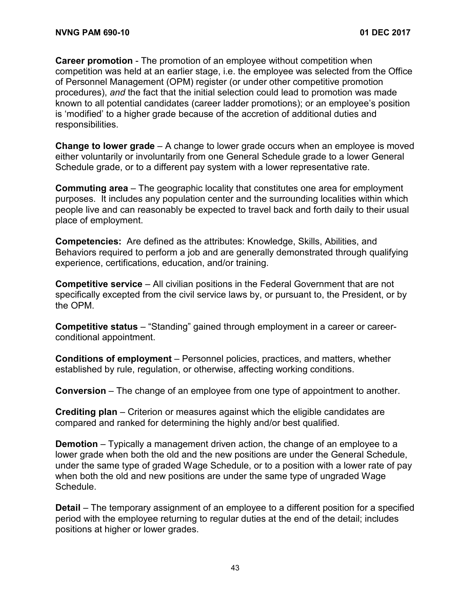**Career promotion** - The promotion of an employee without competition when competition was held at an earlier stage, i.e. the employee was selected from the Office of Personnel Management (OPM) register (or under other competitive promotion procedures), *and* the fact that the initial selection could lead to promotion was made known to all potential candidates (career ladder promotions); or an employee's position is 'modified' to a higher grade because of the accretion of additional duties and responsibilities.

**Change to lower grade** – A change to lower grade occurs when an employee is moved either voluntarily or involuntarily from one General Schedule grade to a lower General Schedule grade, or to a different pay system with a lower representative rate.

**Commuting area** – The geographic locality that constitutes one area for employment purposes. It includes any population center and the surrounding localities within which people live and can reasonably be expected to travel back and forth daily to their usual place of employment.

**Competencies:** Are defined as the attributes: Knowledge, Skills, Abilities, and Behaviors required to perform a job and are generally demonstrated through qualifying experience, certifications, education, and/or training.

**Competitive service** – All civilian positions in the Federal Government that are not specifically excepted from the civil service laws by, or pursuant to, the President, or by the OPM.

**Competitive status** – "Standing" gained through employment in a career or careerconditional appointment.

**Conditions of employment** – Personnel policies, practices, and matters, whether established by rule, regulation, or otherwise, affecting working conditions.

**Conversion** – The change of an employee from one type of appointment to another.

**Crediting plan** – Criterion or measures against which the eligible candidates are compared and ranked for determining the highly and/or best qualified.

**Demotion** – Typically a management driven action, the change of an employee to a lower grade when both the old and the new positions are under the General Schedule, under the same type of graded Wage Schedule, or to a position with a lower rate of pay when both the old and new positions are under the same type of ungraded Wage Schedule.

**Detail** – The temporary assignment of an employee to a different position for a specified period with the employee returning to regular duties at the end of the detail; includes positions at higher or lower grades.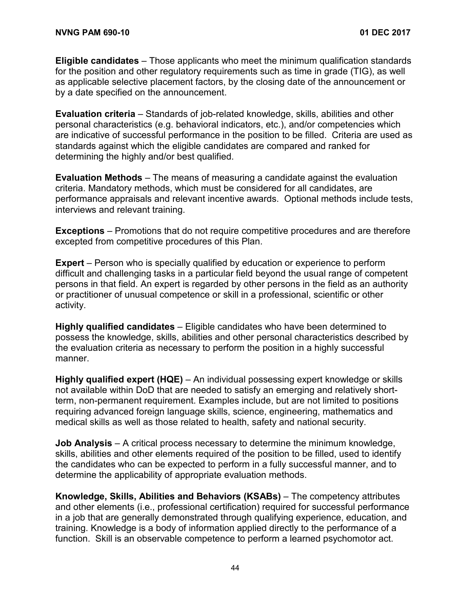**Eligible candidates** – Those applicants who meet the minimum qualification standards for the position and other regulatory requirements such as time in grade (TIG), as well as applicable selective placement factors, by the closing date of the announcement or by a date specified on the announcement.

**Evaluation criteria** – Standards of job-related knowledge, skills, abilities and other personal characteristics (e.g. behavioral indicators, etc.), and/or competencies which are indicative of successful performance in the position to be filled. Criteria are used as standards against which the eligible candidates are compared and ranked for determining the highly and/or best qualified.

**Evaluation Methods** – The means of measuring a candidate against the evaluation criteria. Mandatory methods, which must be considered for all candidates, are performance appraisals and relevant incentive awards. Optional methods include tests, interviews and relevant training.

**Exceptions** – Promotions that do not require competitive procedures and are therefore excepted from competitive procedures of this Plan.

**Expert** – Person who is specially qualified by education or experience to perform difficult and challenging tasks in a particular field beyond the usual range of competent persons in that field. An expert is regarded by other persons in the field as an authority or practitioner of unusual competence or skill in a professional, scientific or other activity.

**Highly qualified candidates** – Eligible candidates who have been determined to possess the knowledge, skills, abilities and other personal characteristics described by the evaluation criteria as necessary to perform the position in a highly successful manner.

**Highly qualified expert (HQE)** – An individual possessing expert knowledge or skills not available within DoD that are needed to satisfy an emerging and relatively shortterm, non-permanent requirement. Examples include, but are not limited to positions requiring advanced foreign language skills, science, engineering, mathematics and medical skills as well as those related to health, safety and national security.

**Job Analysis** – A critical process necessary to determine the minimum knowledge, skills, abilities and other elements required of the position to be filled, used to identify the candidates who can be expected to perform in a fully successful manner, and to determine the applicability of appropriate evaluation methods.

**Knowledge, Skills, Abilities and Behaviors (KSABs)** – The competency attributes and other elements (i.e., professional certification) required for successful performance in a job that are generally demonstrated through qualifying experience, education, and training. Knowledge is a body of information applied directly to the performance of a function. Skill is an observable competence to perform a learned psychomotor act.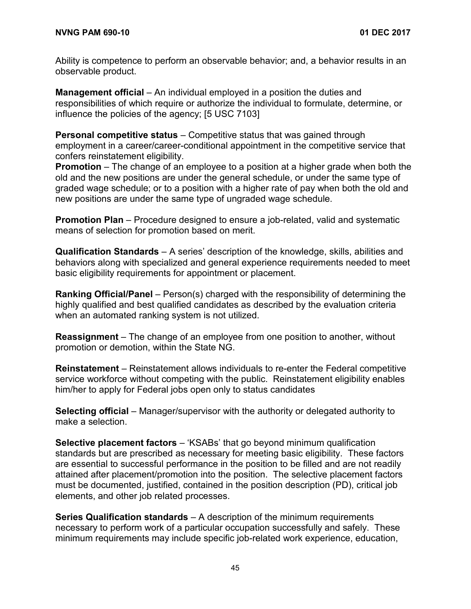Ability is competence to perform an observable behavior; and, a behavior results in an observable product.

**Management official** – An individual employed in a position the duties and responsibilities of which require or authorize the individual to formulate, determine, or influence the policies of the agency; [5 USC 7103]

**Personal competitive status** – Competitive status that was gained through employment in a career/career-conditional appointment in the competitive service that confers reinstatement eligibility.

**Promotion** – The change of an employee to a position at a higher grade when both the old and the new positions are under the general schedule, or under the same type of graded wage schedule; or to a position with a higher rate of pay when both the old and new positions are under the same type of ungraded wage schedule.

**Promotion Plan** – Procedure designed to ensure a job-related, valid and systematic means of selection for promotion based on merit.

**Qualification Standards** – A series' description of the knowledge, skills, abilities and behaviors along with specialized and general experience requirements needed to meet basic eligibility requirements for appointment or placement.

**Ranking Official/Panel** – Person(s) charged with the responsibility of determining the highly qualified and best qualified candidates as described by the evaluation criteria when an automated ranking system is not utilized.

**Reassignment** – The change of an employee from one position to another, without promotion or demotion, within the State NG.

**Reinstatement** – Reinstatement allows individuals to re-enter the Federal competitive service workforce without competing with the public. Reinstatement eligibility enables him/her to apply for Federal jobs open only to status candidates

**Selecting official** – Manager/supervisor with the authority or delegated authority to make a selection.

**Selective placement factors** – 'KSABs' that go beyond minimum qualification standards but are prescribed as necessary for meeting basic eligibility. These factors are essential to successful performance in the position to be filled and are not readily attained after placement/promotion into the position. The selective placement factors must be documented, justified, contained in the position description (PD), critical job elements, and other job related processes.

**Series Qualification standards** – A description of the minimum requirements necessary to perform work of a particular occupation successfully and safely. These minimum requirements may include specific job-related work experience, education,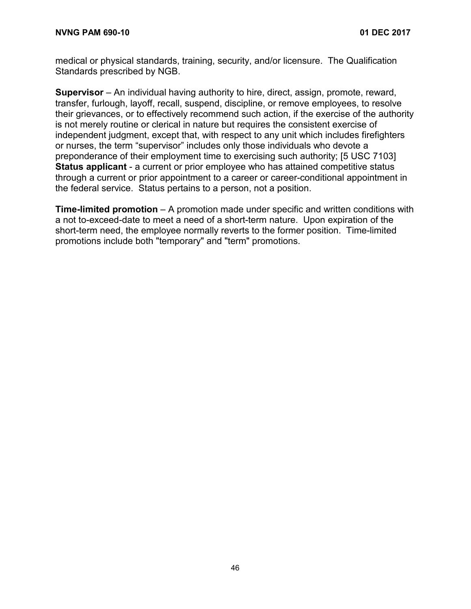medical or physical standards, training, security, and/or licensure. The Qualification Standards prescribed by NGB.

**Supervisor** – An individual having authority to hire, direct, assign, promote, reward, transfer, furlough, layoff, recall, suspend, discipline, or remove employees, to resolve their grievances, or to effectively recommend such action, if the exercise of the authority is not merely routine or clerical in nature but requires the consistent exercise of independent judgment, except that, with respect to any unit which includes firefighters or nurses, the term "supervisor" includes only those individuals who devote a preponderance of their employment time to exercising such authority; [5 USC 7103] **Status applicant** - a current or prior employee who has attained competitive status through a current or prior appointment to a career or career-conditional appointment in the federal service. Status pertains to a person, not a position.

**Time-limited promotion** – A promotion made under specific and written conditions with a not to-exceed-date to meet a need of a short-term nature. Upon expiration of the short-term need, the employee normally reverts to the former position. Time-limited promotions include both "temporary" and "term" promotions.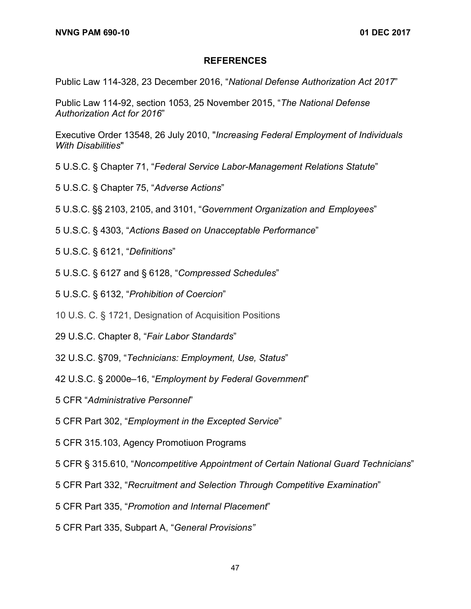#### **REFERENCES**

Public Law 114-328, 23 December 2016, "*National Defense Authorization Act 2017*"

Public Law 114-92, section 1053, 25 November 2015, "*The National Defense Authorization Act for 2016*"

Executive Order 13548, 26 July 2010, "*Increasing Federal Employment of Individuals With Disabilities*"

- 5 U.S.C. § Chapter 71, "*Federal Service Labor-Management Relations Statute*"
- 5 U.S.C. § Chapter 75, "*Adverse Actions*"

5 U.S.C. §§ 2103, 2105, and 3101, "*Government Organization and Employees*"

5 U.S.C. § 4303, "*Actions Based on Unacceptable Performance*"

- 5 U.S.C. § 6121, "*Definitions*"
- 5 U.S.C. § 6127 and § 6128, "*Compressed Schedules*"
- 5 U.S.C. § 6132, "*Prohibition of Coercion*"

10 U.S. C. § 1721, Designation of Acquisition Positions

- 29 U.S.C. Chapter 8, "*Fair Labor Standards*"
- 32 U.S.C. §709, "*Technicians: Employment, Use, Status*"
- 42 U.S.C. § 2000e–16, "*Employment by Federal Government*"
- 5 CFR "*Administrative Personnel*"
- 5 CFR Part 302, "*Employment in the Excepted Service*"
- 5 CFR 315.103, Agency Promotiuon Programs
- 5 CFR § 315.610, "*Noncompetitive Appointment of Certain National Guard Technicians*"
- 5 CFR Part 332, "*Recruitment and Selection Through Competitive Examination*"
- 5 CFR Part 335, "*Promotion and Internal Placement*"
- 5 CFR Part 335, Subpart A, "*General Provisions"*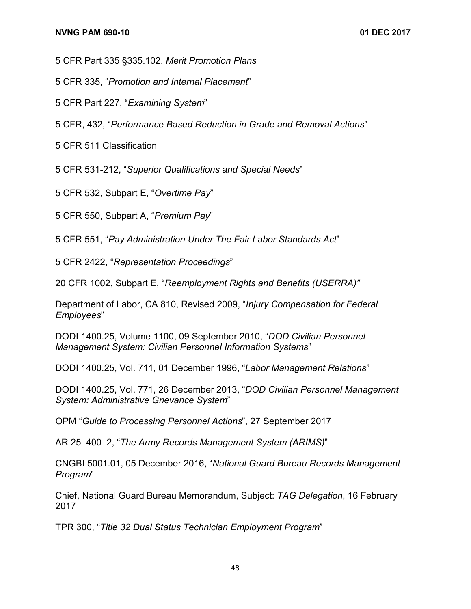5 CFR Part 335 §335.102, *Merit Promotion Plans*

5 CFR 335, "*Promotion and Internal Placement*"

5 CFR Part 227, "*Examining System*"

5 CFR, 432, "*Performance Based Reduction in Grade and Removal Actions*"

5 CFR 511 Classification

5 CFR 531-212, "*Superior Qualifications and Special Needs*"

5 CFR 532, Subpart E, "*Overtime Pay*"

5 CFR 550, Subpart A, "*Premium Pay*"

5 CFR 551, "*Pay Administration Under The Fair Labor Standards Act*"

5 CFR 2422, "*Representation Proceedings*"

20 CFR 1002, Subpart E, "*Reemployment Rights and Benefits (USERRA)"*

Department of Labor, CA 810, Revised 2009, "*Injury Compensation for Federal Employees*"

DODI 1400.25, Volume 1100, 09 September 2010, "*DOD Civilian Personnel Management System: Civilian Personnel Information Systems*"

DODI 1400.25, Vol. 711, 01 December 1996, "*Labor Management Relations*"

DODI 1400.25, Vol. 771, 26 December 2013, "*DOD Civilian Personnel Management System: Administrative Grievance System*"

OPM "*Guide to Processing Personnel Actions*", 27 September 2017

AR 25–400–2, "*The Army Records Management System (ARIMS)*"

CNGBI 5001.01, 05 December 2016, "*National Guard Bureau Records Management Program*"

Chief, National Guard Bureau Memorandum, Subject: *TAG Delegation*, 16 February 2017

TPR 300, "*Title 32 Dual Status Technician Employment Program*"